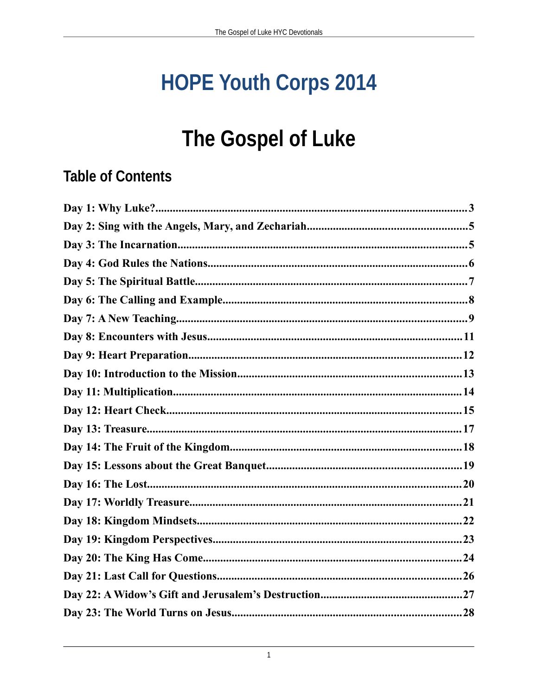# **HOPE Youth Corps 2014**

## The Gospel of Luke

## **Table of Contents**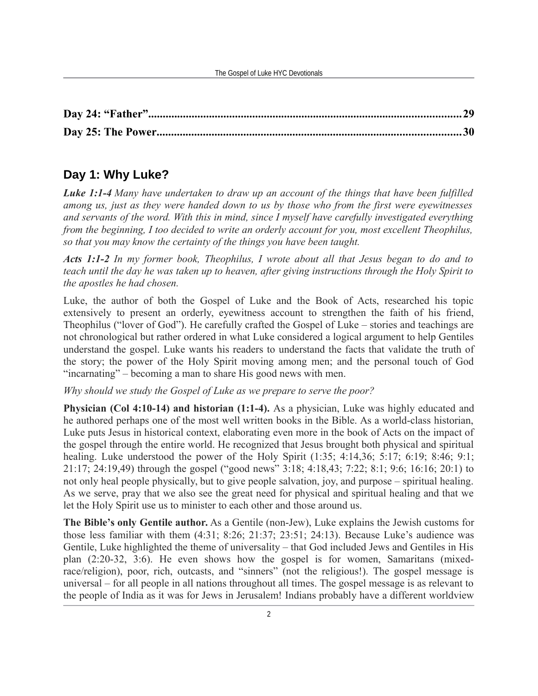## **Day 1: Why Luke?**

*Luke 1:1-4 Many have undertaken to draw up an account of the things that have been fulfilled among us, just as they were handed down to us by those who from the first were eyewitnesses and servants of the word. With this in mind, since I myself have carefully investigated everything from the beginning, I too decided to write an orderly account for you, most excellent Theophilus, so that you may know the certainty of the things you have been taught.*

*Acts 1:1-2 In my former book, Theophilus, I wrote about all that Jesus began to do and to teach until the day he was taken up to heaven, after giving instructions through the Holy Spirit to the apostles he had chosen.*

Luke, the author of both the Gospel of Luke and the Book of Acts, researched his topic extensively to present an orderly, eyewitness account to strengthen the faith of his friend, Theophilus ("lover of God"). He carefully crafted the Gospel of Luke – stories and teachings are not chronological but rather ordered in what Luke considered a logical argument to help Gentiles understand the gospel. Luke wants his readers to understand the facts that validate the truth of the story; the power of the Holy Spirit moving among men; and the personal touch of God "incarnating" – becoming a man to share His good news with men.

*Why should we study the Gospel of Luke as we prepare to serve the poor?* 

**Physician (Col 4:10-14) and historian (1:1-4).** As a physician, Luke was highly educated and he authored perhaps one of the most well written books in the Bible. As a world-class historian, Luke puts Jesus in historical context, elaborating even more in the book of Acts on the impact of the gospel through the entire world. He recognized that Jesus brought both physical and spiritual healing. Luke understood the power of the Holy Spirit  $(1:35; 4:14.36; 5:17; 6:19; 8:46; 9:1;$ 21:17; 24:19,49) through the gospel ("good news" 3:18; 4:18,43; 7:22; 8:1; 9:6; 16:16; 20:1) to not only heal people physically, but to give people salvation, joy, and purpose – spiritual healing. As we serve, pray that we also see the great need for physical and spiritual healing and that we let the Holy Spirit use us to minister to each other and those around us.

**The Bible's only Gentile author.** As a Gentile (non-Jew), Luke explains the Jewish customs for those less familiar with them (4:31; 8:26; 21:37; 23:51; 24:13). Because Luke's audience was Gentile, Luke highlighted the theme of universality – that God included Jews and Gentiles in His plan (2:20-32, 3:6). He even shows how the gospel is for women, Samaritans (mixedrace/religion), poor, rich, outcasts, and "sinners" (not the religious!). The gospel message is universal – for all people in all nations throughout all times. The gospel message is as relevant to the people of India as it was for Jews in Jerusalem! Indians probably have a different worldview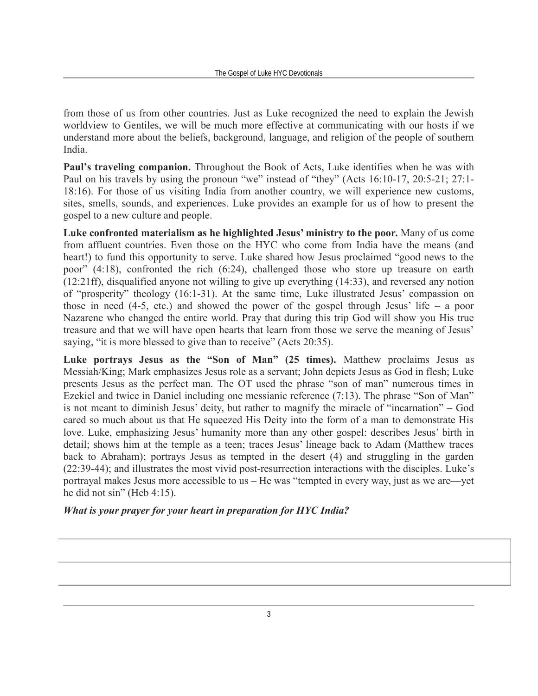from those of us from other countries. Just as Luke recognized the need to explain the Jewish worldview to Gentiles, we will be much more effective at communicating with our hosts if we understand more about the beliefs, background, language, and religion of the people of southern India.

**Paul's traveling companion.** Throughout the Book of Acts, Luke identifies when he was with Paul on his travels by using the pronoun "we" instead of "they" (Acts 16:10-17, 20:5-21; 27:1- 18:16). For those of us visiting India from another country, we will experience new customs, sites, smells, sounds, and experiences. Luke provides an example for us of how to present the gospel to a new culture and people.

**Luke confronted materialism as he highlighted Jesus' ministry to the poor.** Many of us come from affluent countries. Even those on the HYC who come from India have the means (and heart!) to fund this opportunity to serve. Luke shared how Jesus proclaimed "good news to the poor" (4:18), confronted the rich (6:24), challenged those who store up treasure on earth (12:21ff), disqualified anyone not willing to give up everything (14:33), and reversed any notion of "prosperity" theology (16:1-31). At the same time, Luke illustrated Jesus' compassion on those in need (4-5, etc.) and showed the power of the gospel through Jesus' life – a poor Nazarene who changed the entire world. Pray that during this trip God will show you His true treasure and that we will have open hearts that learn from those we serve the meaning of Jesus' saying, "it is more blessed to give than to receive" (Acts 20:35).

**Luke portrays Jesus as the "Son of Man" (25 times).** Matthew proclaims Jesus as Messiah/King; Mark emphasizes Jesus role as a servant; John depicts Jesus as God in flesh; Luke presents Jesus as the perfect man. The OT used the phrase "son of man" numerous times in Ezekiel and twice in Daniel including one messianic reference (7:13). The phrase "Son of Man" is not meant to diminish Jesus' deity, but rather to magnify the miracle of "incarnation" – God cared so much about us that He squeezed His Deity into the form of a man to demonstrate His love. Luke, emphasizing Jesus' humanity more than any other gospel: describes Jesus' birth in detail; shows him at the temple as a teen; traces Jesus' lineage back to Adam (Matthew traces back to Abraham); portrays Jesus as tempted in the desert (4) and struggling in the garden (22:39-44); and illustrates the most vivid post-resurrection interactions with the disciples. Luke's portrayal makes Jesus more accessible to us – He was "tempted in every way, just as we are—yet he did not sin" (Heb 4:15).

#### *What is your prayer for your heart in preparation for HYC India?*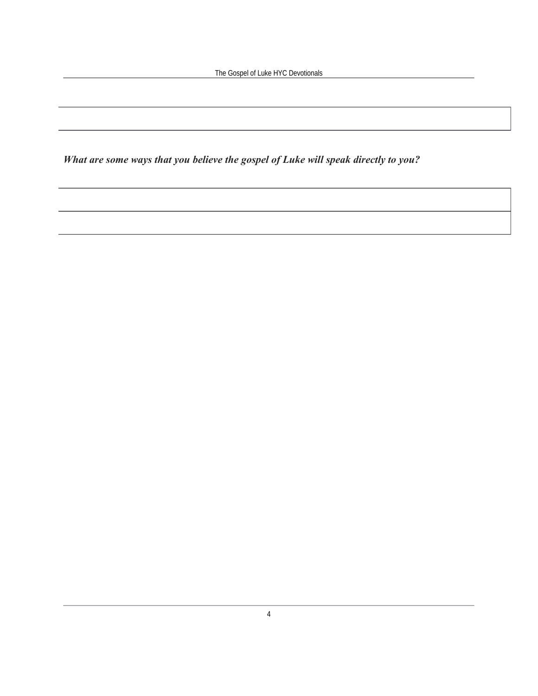The Gospel of Luke HYC Devotionals

*What are some ways that you believe the gospel of Luke will speak directly to you?*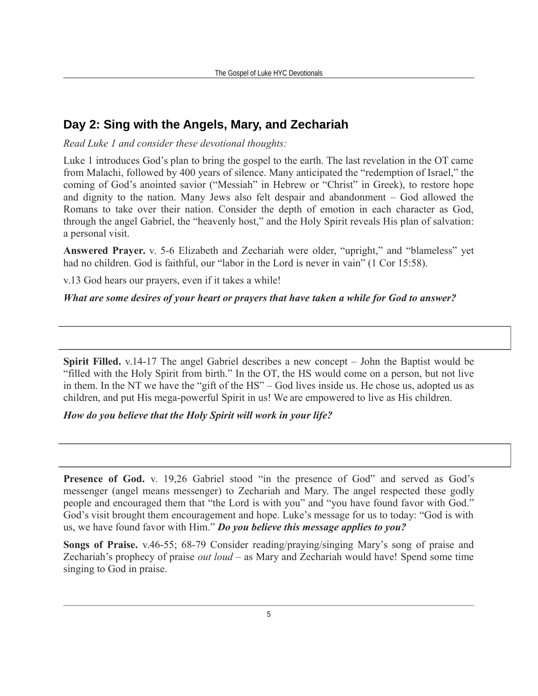## **Day 2: Sing with the Angels, Mary, and Zechariah**

*Read Luke 1 and consider these devotional thoughts:*

Luke 1 introduces God's plan to bring the gospel to the earth. The last revelation in the OT came from Malachi, followed by 400 years of silence. Many anticipated the "redemption of Israel," the coming of God's anointed savior ("Messiah" in Hebrew or "Christ" in Greek), to restore hope and dignity to the nation. Many Jews also felt despair and abandonment – God allowed the Romans to take over their nation. Consider the depth of emotion in each character as God, through the angel Gabriel, the "heavenly host," and the Holy Spirit reveals His plan of salvation: a personal visit.

**Answered Prayer.** v. 5-6 Elizabeth and Zechariah were older, "upright," and "blameless" yet had no children. God is faithful, our "labor in the Lord is never in vain" (1 Cor 15:58).

v.13 God hears our prayers, even if it takes a while!

#### *What are some desires of your heart or prayers that have taken a while for God to answer?*

**Spirit Filled.** v.14-17 The angel Gabriel describes a new concept – John the Baptist would be "filled with the Holy Spirit from birth." In the OT, the HS would come on a person, but not live in them. In the NT we have the "gift of the HS" – God lives inside us. He chose us, adopted us as children, and put His mega-powerful Spirit in us! We are empowered to live as His children.

#### *How do you believe that the Holy Spirit will work in your life?*

**Presence of God.** v. 19,26 Gabriel stood "in the presence of God" and served as God's messenger (angel means messenger) to Zechariah and Mary. The angel respected these godly people and encouraged them that "the Lord is with you" and "you have found favor with God." God's visit brought them encouragement and hope. Luke's message for us to today: "God is with us, we have found favor with Him." *Do you believe this message applies to you?*

**Songs of Praise.** v.46-55; 68-79 Consider reading/praying/singing Mary's song of praise and Zechariah's prophecy of praise *out loud* – as Mary and Zechariah would have! Spend some time singing to God in praise.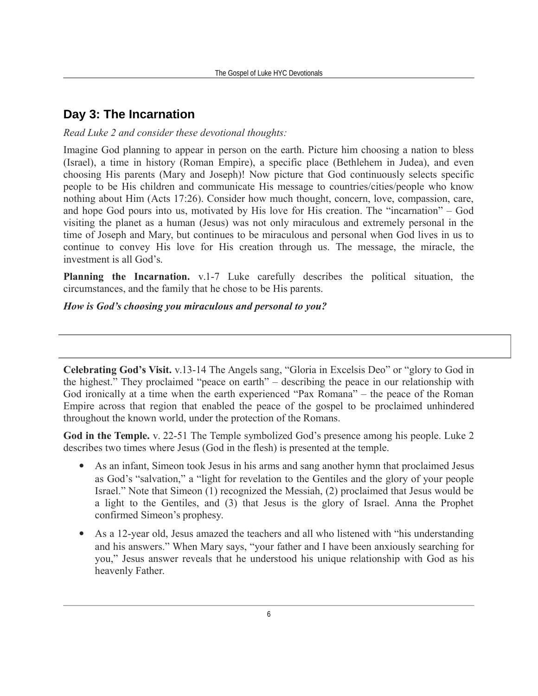## **Day 3: The Incarnation**

#### *Read Luke 2 and consider these devotional thoughts:*

Imagine God planning to appear in person on the earth. Picture him choosing a nation to bless (Israel), a time in history (Roman Empire), a specific place (Bethlehem in Judea), and even choosing His parents (Mary and Joseph)! Now picture that God continuously selects specific people to be His children and communicate His message to countries/cities/people who know nothing about Him (Acts 17:26). Consider how much thought, concern, love, compassion, care, and hope God pours into us, motivated by His love for His creation. The "incarnation" – God visiting the planet as a human (Jesus) was not only miraculous and extremely personal in the time of Joseph and Mary, but continues to be miraculous and personal when God lives in us to continue to convey His love for His creation through us. The message, the miracle, the investment is all God's.

**Planning the Incarnation.** v.1-7 Luke carefully describes the political situation, the circumstances, and the family that he chose to be His parents.

#### *How is God's choosing you miraculous and personal to you?*

**Celebrating God's Visit.** v.13-14 The Angels sang, "Gloria in Excelsis Deo" or "glory to God in the highest." They proclaimed "peace on earth" – describing the peace in our relationship with God ironically at a time when the earth experienced "Pax Romana" – the peace of the Roman Empire across that region that enabled the peace of the gospel to be proclaimed unhindered throughout the known world, under the protection of the Romans.

**God in the Temple.** v. 22-51 The Temple symbolized God's presence among his people. Luke 2 describes two times where Jesus (God in the flesh) is presented at the temple.

- As an infant, Simeon took Jesus in his arms and sang another hymn that proclaimed Jesus as God's "salvation," a "light for revelation to the Gentiles and the glory of your people Israel." Note that Simeon (1) recognized the Messiah, (2) proclaimed that Jesus would be a light to the Gentiles, and (3) that Jesus is the glory of Israel. Anna the Prophet confirmed Simeon's prophesy.
- As a 12-year old, Jesus amazed the teachers and all who listened with "his understanding and his answers." When Mary says, "your father and I have been anxiously searching for you," Jesus answer reveals that he understood his unique relationship with God as his heavenly Father.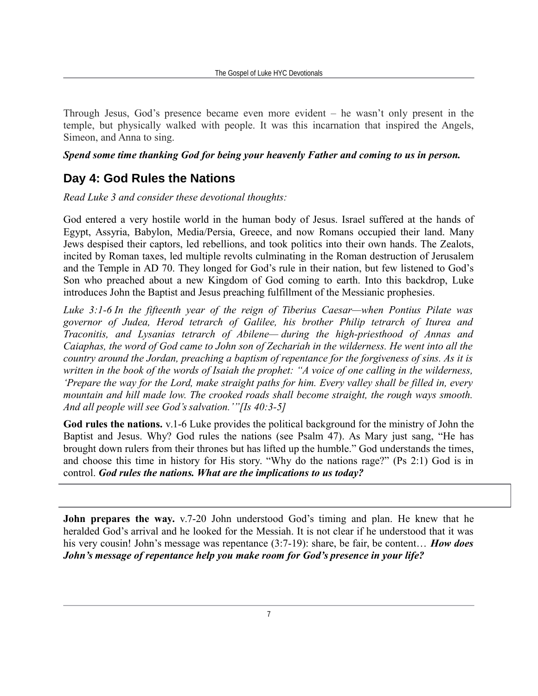Through Jesus, God's presence became even more evident – he wasn't only present in the temple, but physically walked with people. It was this incarnation that inspired the Angels, Simeon, and Anna to sing.

#### *Spend some time thanking God for being your heavenly Father and coming to us in person.*

## **Day 4: God Rules the Nations**

*Read Luke 3 and consider these devotional thoughts:*

God entered a very hostile world in the human body of Jesus. Israel suffered at the hands of Egypt, Assyria, Babylon, Media/Persia, Greece, and now Romans occupied their land. Many Jews despised their captors, led rebellions, and took politics into their own hands. The Zealots, incited by Roman taxes, led multiple revolts culminating in the Roman destruction of Jerusalem and the Temple in AD 70. They longed for God's rule in their nation, but few listened to God's Son who preached about a new Kingdom of God coming to earth. Into this backdrop, Luke introduces John the Baptist and Jesus preaching fulfillment of the Messianic prophesies.

*Luke 3:1-6 In the fifteenth year of the reign of Tiberius Caesar—when Pontius Pilate was governor of Judea, Herod tetrarch of Galilee, his brother Philip tetrarch of Iturea and Traconitis, and Lysanias tetrarch of Abilene— during the high-priesthood of Annas and Caiaphas, the word of God came to John son of Zechariah in the wilderness. He went into all the country around the Jordan, preaching a baptism of repentance for the forgiveness of sins. As it is written in the book of the words of Isaiah the prophet: "A voice of one calling in the wilderness, 'Prepare the way for the Lord, make straight paths for him. Every valley shall be filled in, every mountain and hill made low. The crooked roads shall become straight, the rough ways smooth. And all people will see God's salvation.'"[Is 40:3-5]*

**God rules the nations.** v.1-6 Luke provides the political background for the ministry of John the Baptist and Jesus. Why? God rules the nations (see Psalm 47). As Mary just sang, "He has brought down rulers from their thrones but has lifted up the humble." God understands the times, and choose this time in history for His story. "Why do the nations rage?" (Ps 2:1) God is in control. *God rules the nations. What are the implications to us today?*

**John prepares the way.** v.7-20 John understood God's timing and plan. He knew that he heralded God's arrival and he looked for the Messiah. It is not clear if he understood that it was his very cousin! John's message was repentance (3:7-19): share, be fair, be content… *How does John's message of repentance help you make room for God's presence in your life?*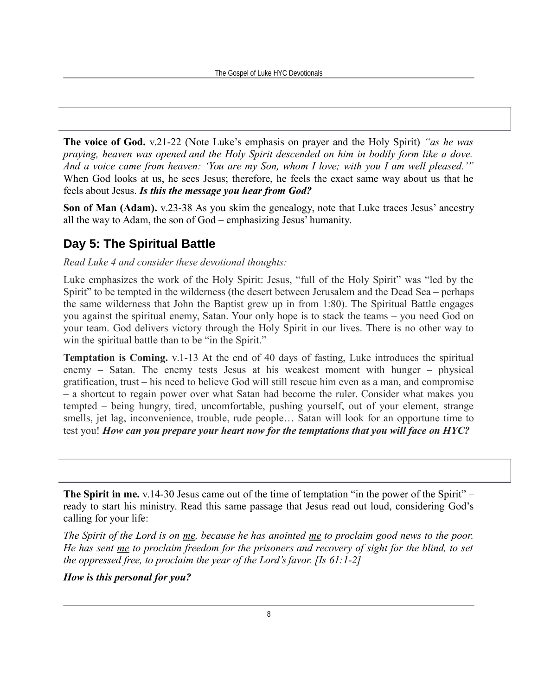**The voice of God.** v.21-22 (Note Luke's emphasis on prayer and the Holy Spirit) *"as he was praying, heaven was opened and the Holy Spirit descended on him in bodily form like a dove. And a voice came from heaven: 'You are my Son, whom I love; with you I am well pleased.'"* When God looks at us, he sees Jesus; therefore, he feels the exact same way about us that he feels about Jesus. *Is this the message you hear from God?*

**Son of Man (Adam).**  $v.23-38$  As you skim the genealogy, note that Luke traces Jesus' ancestry all the way to Adam, the son of God – emphasizing Jesus' humanity.

## **Day 5: The Spiritual Battle**

*Read Luke 4 and consider these devotional thoughts:*

Luke emphasizes the work of the Holy Spirit: Jesus, "full of the Holy Spirit" was "led by the Spirit" to be tempted in the wilderness (the desert between Jerusalem and the Dead Sea – perhaps the same wilderness that John the Baptist grew up in from 1:80). The Spiritual Battle engages you against the spiritual enemy, Satan. Your only hope is to stack the teams – you need God on your team. God delivers victory through the Holy Spirit in our lives. There is no other way to win the spiritual battle than to be "in the Spirit."

**Temptation is Coming.** v.1-13 At the end of 40 days of fasting, Luke introduces the spiritual enemy – Satan. The enemy tests Jesus at his weakest moment with hunger – physical gratification, trust – his need to believe God will still rescue him even as a man, and compromise – a shortcut to regain power over what Satan had become the ruler. Consider what makes you tempted – being hungry, tired, uncomfortable, pushing yourself, out of your element, strange smells, jet lag, inconvenience, trouble, rude people… Satan will look for an opportune time to test you! *How can you prepare your heart now for the temptations that you will face on HYC?*

**The Spirit in me.**  $v.14-30$  Jesus came out of the time of temptation "in the power of the Spirit" – ready to start his ministry. Read this same passage that Jesus read out loud, considering God's calling for your life:

*The Spirit of the Lord is on me, because he has anointed me to proclaim good news to the poor. He has sent me to proclaim freedom for the prisoners and recovery of sight for the blind, to set the oppressed free, to proclaim the year of the Lord's favor. [Is 61:1-2]*

*How is this personal for you?*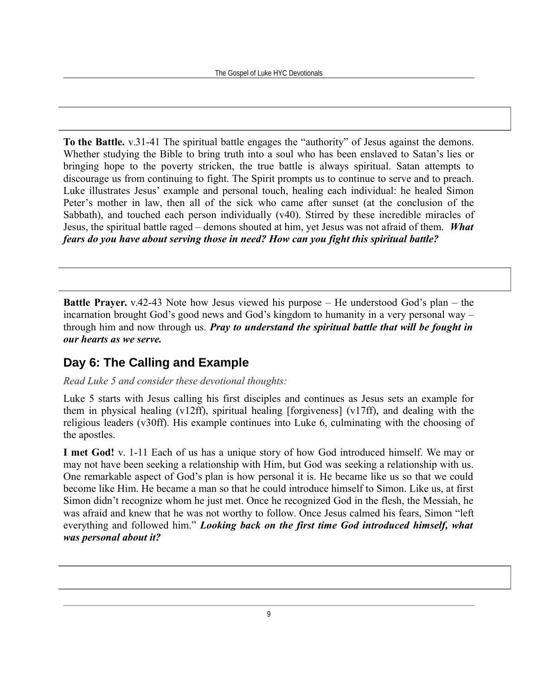**To the Battle.** v.31-41 The spiritual battle engages the "authority" of Jesus against the demons. Whether studying the Bible to bring truth into a soul who has been enslaved to Satan's lies or bringing hope to the poverty stricken, the true battle is always spiritual. Satan attempts to discourage us from continuing to fight. The Spirit prompts us to continue to serve and to preach. Luke illustrates Jesus' example and personal touch, healing each individual: he healed Simon Peter's mother in law, then all of the sick who came after sunset (at the conclusion of the Sabbath), and touched each person individually (v40). Stirred by these incredible miracles of Jesus, the spiritual battle raged – demons shouted at him, yet Jesus was not afraid of them. *What fears do you have about serving those in need? How can you fight this spiritual battle?*

**Battle Prayer.** v.42-43 Note how Jesus viewed his purpose – He understood God's plan – the incarnation brought God's good news and God's kingdom to humanity in a very personal way – through him and now through us. *Pray to understand the spiritual battle that will be fought in our hearts as we serve.* 

## **Day 6: The Calling and Example**

#### *Read Luke 5 and consider these devotional thoughts:*

Luke 5 starts with Jesus calling his first disciples and continues as Jesus sets an example for them in physical healing (v12ff), spiritual healing [forgiveness] (v17ff), and dealing with the religious leaders (v30ff). His example continues into Luke 6, culminating with the choosing of the apostles.

**I met God!** v. 1-11 Each of us has a unique story of how God introduced himself. We may or may not have been seeking a relationship with Him, but God was seeking a relationship with us. One remarkable aspect of God's plan is how personal it is. He became like us so that we could become like Him. He became a man so that he could introduce himself to Simon. Like us, at first Simon didn't recognize whom he just met. Once he recognized God in the flesh, the Messiah, he was afraid and knew that he was not worthy to follow. Once Jesus calmed his fears, Simon "left everything and followed him." *Looking back on the first time God introduced himself, what was personal about it?*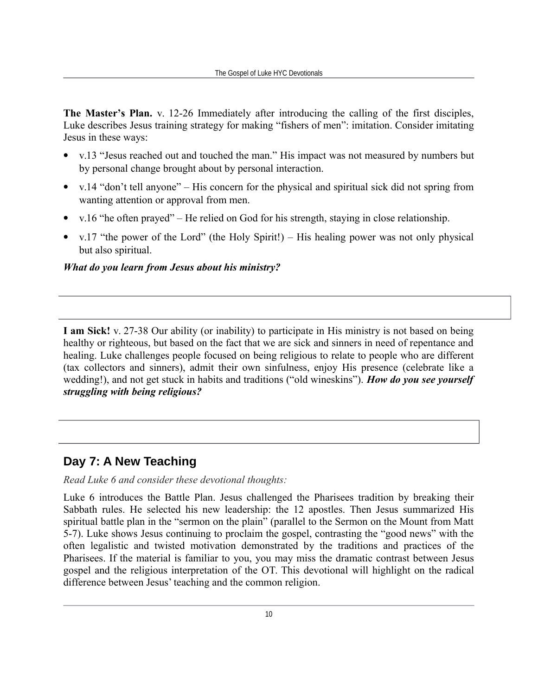**The Master's Plan.** v. 12-26 Immediately after introducing the calling of the first disciples, Luke describes Jesus training strategy for making "fishers of men": imitation. Consider imitating Jesus in these ways:

- v.13 "Jesus reached out and touched the man." His impact was not measured by numbers but by personal change brought about by personal interaction.
- v.14 "don't tell anyone" His concern for the physical and spiritual sick did not spring from wanting attention or approval from men.
- v.16 "he often prayed" He relied on God for his strength, staying in close relationship.
- v.17 "the power of the Lord" (the Holy Spirit!) His healing power was not only physical but also spiritual.

#### *What do you learn from Jesus about his ministry?*

**I am Sick!** v. 27-38 Our ability (or inability) to participate in His ministry is not based on being healthy or righteous, but based on the fact that we are sick and sinners in need of repentance and healing. Luke challenges people focused on being religious to relate to people who are different (tax collectors and sinners), admit their own sinfulness, enjoy His presence (celebrate like a wedding!), and not get stuck in habits and traditions ("old wineskins"). *How do you see yourself struggling with being religious?*

### **Day 7: A New Teaching**

*Read Luke 6 and consider these devotional thoughts:*

Luke 6 introduces the Battle Plan. Jesus challenged the Pharisees tradition by breaking their Sabbath rules. He selected his new leadership: the 12 apostles. Then Jesus summarized His spiritual battle plan in the "sermon on the plain" (parallel to the Sermon on the Mount from Matt 5-7). Luke shows Jesus continuing to proclaim the gospel, contrasting the "good news" with the often legalistic and twisted motivation demonstrated by the traditions and practices of the Pharisees. If the material is familiar to you, you may miss the dramatic contrast between Jesus gospel and the religious interpretation of the OT. This devotional will highlight on the radical difference between Jesus' teaching and the common religion.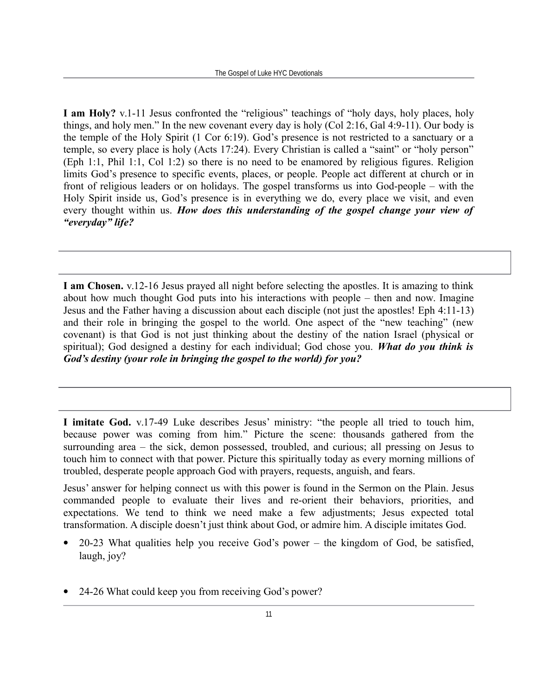**I am Holy?** v.1-11 Jesus confronted the "religious" teachings of "holy days, holy places, holy things, and holy men." In the new covenant every day is holy (Col 2:16, Gal 4:9-11). Our body is the temple of the Holy Spirit (1 Cor 6:19). God's presence is not restricted to a sanctuary or a temple, so every place is holy (Acts 17:24). Every Christian is called a "saint" or "holy person" (Eph 1:1, Phil 1:1, Col 1:2) so there is no need to be enamored by religious figures. Religion limits God's presence to specific events, places, or people. People act different at church or in front of religious leaders or on holidays. The gospel transforms us into God-people – with the Holy Spirit inside us, God's presence is in everything we do, every place we visit, and even every thought within us. *How does this understanding of the gospel change your view of "everyday" life?*

**I am Chosen.** v.12-16 Jesus prayed all night before selecting the apostles. It is amazing to think about how much thought God puts into his interactions with people – then and now. Imagine Jesus and the Father having a discussion about each disciple (not just the apostles! Eph 4:11-13) and their role in bringing the gospel to the world. One aspect of the "new teaching" (new covenant) is that God is not just thinking about the destiny of the nation Israel (physical or spiritual); God designed a destiny for each individual; God chose you. *What do you think is God's destiny (your role in bringing the gospel to the world) for you?*

**I imitate God.** v.17-49 Luke describes Jesus' ministry: "the people all tried to touch him, because power was coming from him." Picture the scene: thousands gathered from the surrounding area – the sick, demon possessed, troubled, and curious; all pressing on Jesus to touch him to connect with that power. Picture this spiritually today as every morning millions of troubled, desperate people approach God with prayers, requests, anguish, and fears.

Jesus' answer for helping connect us with this power is found in the Sermon on the Plain. Jesus commanded people to evaluate their lives and re-orient their behaviors, priorities, and expectations. We tend to think we need make a few adjustments; Jesus expected total transformation. A disciple doesn't just think about God, or admire him. A disciple imitates God.

- 20-23 What qualities help you receive God's power the kingdom of God, be satisfied, laugh, joy?
- 24-26 What could keep you from receiving God's power?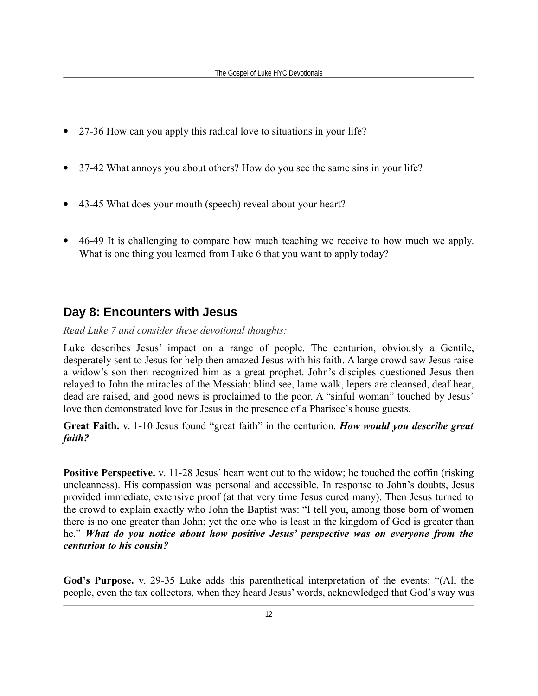- 27-36 How can you apply this radical love to situations in your life?
- 37-42 What annoys you about others? How do you see the same sins in your life?
- 43-45 What does your mouth (speech) reveal about your heart?
- 46-49 It is challenging to compare how much teaching we receive to how much we apply. What is one thing you learned from Luke 6 that you want to apply today?

## **Day 8: Encounters with Jesus**

*Read Luke 7 and consider these devotional thoughts:*

Luke describes Jesus' impact on a range of people. The centurion, obviously a Gentile, desperately sent to Jesus for help then amazed Jesus with his faith. A large crowd saw Jesus raise a widow's son then recognized him as a great prophet. John's disciples questioned Jesus then relayed to John the miracles of the Messiah: blind see, lame walk, lepers are cleansed, deaf hear, dead are raised, and good news is proclaimed to the poor. A "sinful woman" touched by Jesus' love then demonstrated love for Jesus in the presence of a Pharisee's house guests.

**Great Faith.** v. 1-10 Jesus found "great faith" in the centurion. *How would you describe great faith?*

**Positive Perspective.** v. 11-28 Jesus' heart went out to the widow; he touched the coffin (risking uncleanness). His compassion was personal and accessible. In response to John's doubts, Jesus provided immediate, extensive proof (at that very time Jesus cured many). Then Jesus turned to the crowd to explain exactly who John the Baptist was: "I tell you, among those born of women there is no one greater than John; yet the one who is least in the kingdom of God is greater than he." *What do you notice about how positive Jesus' perspective was on everyone from the centurion to his cousin?*

**God's Purpose.** v. 29-35 Luke adds this parenthetical interpretation of the events: "(All the people, even the tax collectors, when they heard Jesus' words, acknowledged that God's way was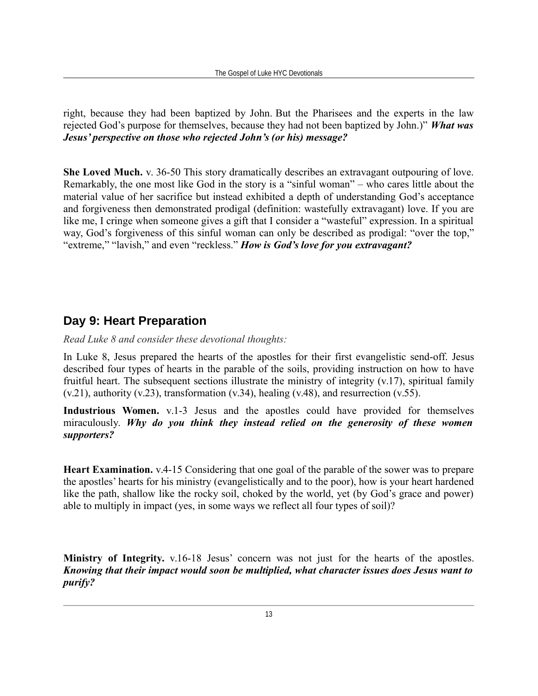right, because they had been baptized by John. But the Pharisees and the experts in the law rejected God's purpose for themselves, because they had not been baptized by John.)" *What was Jesus' perspective on those who rejected John's (or his) message?*

**She Loved Much.** v. 36-50 This story dramatically describes an extravagant outpouring of love. Remarkably, the one most like God in the story is a "sinful woman" – who cares little about the material value of her sacrifice but instead exhibited a depth of understanding God's acceptance and forgiveness then demonstrated prodigal (definition: wastefully extravagant) love. If you are like me, I cringe when someone gives a gift that I consider a "wasteful" expression. In a spiritual way, God's forgiveness of this sinful woman can only be described as prodigal: "over the top," "extreme," "lavish," and even "reckless." *How is God's love for you extravagant?*

## **Day 9: Heart Preparation**

*Read Luke 8 and consider these devotional thoughts:*

In Luke 8, Jesus prepared the hearts of the apostles for their first evangelistic send-off. Jesus described four types of hearts in the parable of the soils, providing instruction on how to have fruitful heart. The subsequent sections illustrate the ministry of integrity (v.17), spiritual family  $(v.21)$ , authority  $(v.23)$ , transformation  $(v.34)$ , healing  $(v.48)$ , and resurrection  $(v.55)$ .

**Industrious Women.** v.1-3 Jesus and the apostles could have provided for themselves miraculously. *Why do you think they instead relied on the generosity of these women supporters?*

**Heart Examination.** v.4-15 Considering that one goal of the parable of the sower was to prepare the apostles' hearts for his ministry (evangelistically and to the poor), how is your heart hardened like the path, shallow like the rocky soil, choked by the world, yet (by God's grace and power) able to multiply in impact (yes, in some ways we reflect all four types of soil)?

**Ministry of Integrity.** v.16-18 Jesus' concern was not just for the hearts of the apostles. *Knowing that their impact would soon be multiplied, what character issues does Jesus want to purify?*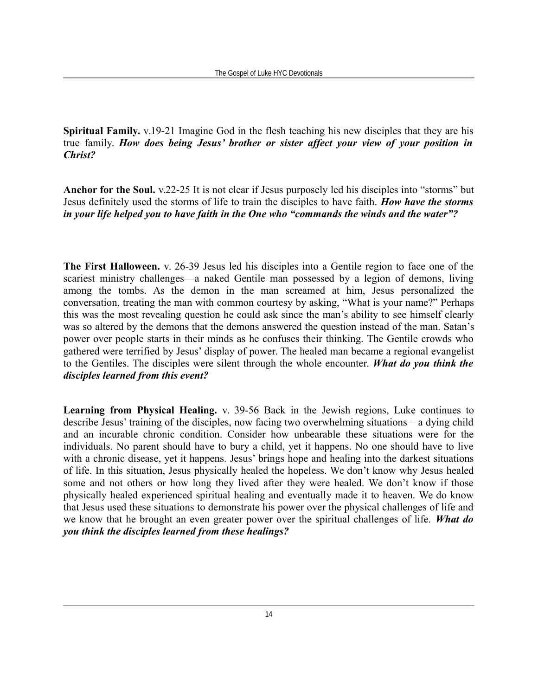**Spiritual Family.** v.19-21 Imagine God in the flesh teaching his new disciples that they are his true family. *How does being Jesus' brother or sister affect your view of your position in Christ?*

**Anchor for the Soul.** v.22-25 It is not clear if Jesus purposely led his disciples into "storms" but Jesus definitely used the storms of life to train the disciples to have faith. *How have the storms in your life helped you to have faith in the One who "commands the winds and the water"?*

**The First Halloween.** v. 26-39 Jesus led his disciples into a Gentile region to face one of the scariest ministry challenges—a naked Gentile man possessed by a legion of demons, living among the tombs. As the demon in the man screamed at him, Jesus personalized the conversation, treating the man with common courtesy by asking, "What is your name?" Perhaps this was the most revealing question he could ask since the man's ability to see himself clearly was so altered by the demons that the demons answered the question instead of the man. Satan's power over people starts in their minds as he confuses their thinking. The Gentile crowds who gathered were terrified by Jesus' display of power. The healed man became a regional evangelist to the Gentiles. The disciples were silent through the whole encounter. *What do you think the disciples learned from this event?*

**Learning from Physical Healing.** v. 39-56 Back in the Jewish regions, Luke continues to describe Jesus' training of the disciples, now facing two overwhelming situations – a dying child and an incurable chronic condition. Consider how unbearable these situations were for the individuals. No parent should have to bury a child, yet it happens. No one should have to live with a chronic disease, yet it happens. Jesus' brings hope and healing into the darkest situations of life. In this situation, Jesus physically healed the hopeless. We don't know why Jesus healed some and not others or how long they lived after they were healed. We don't know if those physically healed experienced spiritual healing and eventually made it to heaven. We do know that Jesus used these situations to demonstrate his power over the physical challenges of life and we know that he brought an even greater power over the spiritual challenges of life. *What do you think the disciples learned from these healings?*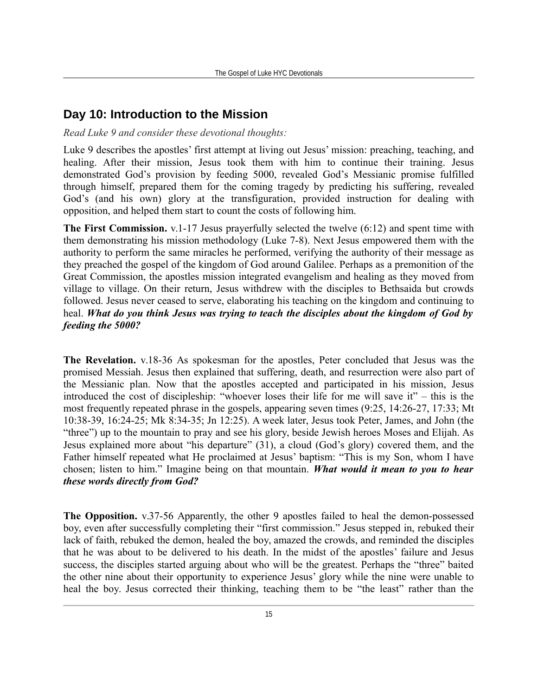## **Day 10: Introduction to the Mission**

#### *Read Luke 9 and consider these devotional thoughts:*

Luke 9 describes the apostles' first attempt at living out Jesus' mission: preaching, teaching, and healing. After their mission, Jesus took them with him to continue their training. Jesus demonstrated God's provision by feeding 5000, revealed God's Messianic promise fulfilled through himself, prepared them for the coming tragedy by predicting his suffering, revealed God's (and his own) glory at the transfiguration, provided instruction for dealing with opposition, and helped them start to count the costs of following him.

**The First Commission.** v.1-17 Jesus prayerfully selected the twelve (6:12) and spent time with them demonstrating his mission methodology (Luke 7-8). Next Jesus empowered them with the authority to perform the same miracles he performed, verifying the authority of their message as they preached the gospel of the kingdom of God around Galilee. Perhaps as a premonition of the Great Commission, the apostles mission integrated evangelism and healing as they moved from village to village. On their return, Jesus withdrew with the disciples to Bethsaida but crowds followed. Jesus never ceased to serve, elaborating his teaching on the kingdom and continuing to heal. *What do you think Jesus was trying to teach the disciples about the kingdom of God by feeding the 5000?*

**The Revelation.** v.18-36 As spokesman for the apostles, Peter concluded that Jesus was the promised Messiah. Jesus then explained that suffering, death, and resurrection were also part of the Messianic plan. Now that the apostles accepted and participated in his mission, Jesus introduced the cost of discipleship: "whoever loses their life for me will save it" – this is the most frequently repeated phrase in the gospels, appearing seven times (9:25, 14:26-27, 17:33; Mt 10:38-39, 16:24-25; Mk 8:34-35; Jn 12:25). A week later, Jesus took Peter, James, and John (the "three") up to the mountain to pray and see his glory, beside Jewish heroes Moses and Elijah. As Jesus explained more about "his departure" (31), a cloud (God's glory) covered them, and the Father himself repeated what He proclaimed at Jesus' baptism: "This is my Son, whom I have chosen; listen to him." Imagine being on that mountain. *What would it mean to you to hear these words directly from God?*

**The Opposition.** v.37-56 Apparently, the other 9 apostles failed to heal the demon-possessed boy, even after successfully completing their "first commission." Jesus stepped in, rebuked their lack of faith, rebuked the demon, healed the boy, amazed the crowds, and reminded the disciples that he was about to be delivered to his death. In the midst of the apostles' failure and Jesus success, the disciples started arguing about who will be the greatest. Perhaps the "three" baited the other nine about their opportunity to experience Jesus' glory while the nine were unable to heal the boy. Jesus corrected their thinking, teaching them to be "the least" rather than the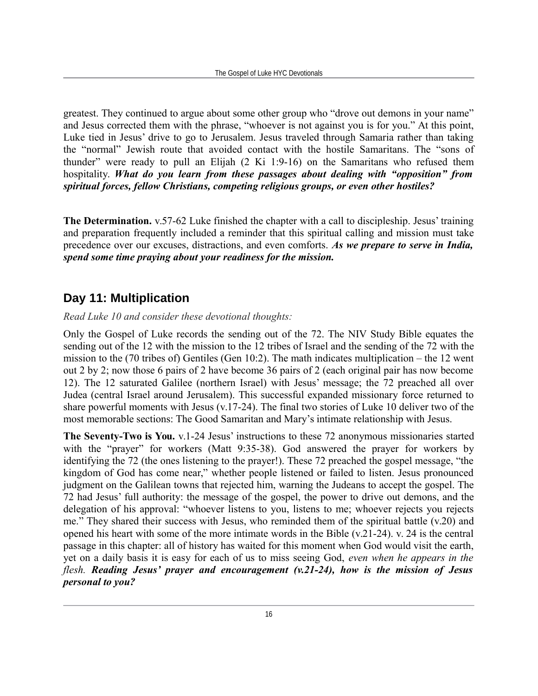greatest. They continued to argue about some other group who "drove out demons in your name" and Jesus corrected them with the phrase, "whoever is not against you is for you." At this point, Luke tied in Jesus' drive to go to Jerusalem. Jesus traveled through Samaria rather than taking the "normal" Jewish route that avoided contact with the hostile Samaritans. The "sons of thunder" were ready to pull an Elijah (2 Ki 1:9-16) on the Samaritans who refused them hospitality. *What do you learn from these passages about dealing with "opposition" from spiritual forces, fellow Christians, competing religious groups, or even other hostiles?*

**The Determination.** v.57-62 Luke finished the chapter with a call to discipleship. Jesus' training and preparation frequently included a reminder that this spiritual calling and mission must take precedence over our excuses, distractions, and even comforts. *As we prepare to serve in India, spend some time praying about your readiness for the mission.*

## **Day 11: Multiplication**

#### *Read Luke 10 and consider these devotional thoughts:*

Only the Gospel of Luke records the sending out of the 72. The NIV Study Bible equates the sending out of the 12 with the mission to the 12 tribes of Israel and the sending of the 72 with the mission to the (70 tribes of) Gentiles (Gen 10:2). The math indicates multiplication – the 12 went out 2 by 2; now those 6 pairs of 2 have become 36 pairs of 2 (each original pair has now become 12). The 12 saturated Galilee (northern Israel) with Jesus' message; the 72 preached all over Judea (central Israel around Jerusalem). This successful expanded missionary force returned to share powerful moments with Jesus (v.17-24). The final two stories of Luke 10 deliver two of the most memorable sections: The Good Samaritan and Mary's intimate relationship with Jesus.

**The Seventy-Two is You.** v.1-24 Jesus' instructions to these 72 anonymous missionaries started with the "prayer" for workers (Matt 9:35-38). God answered the prayer for workers by identifying the 72 (the ones listening to the prayer!). These 72 preached the gospel message, "the kingdom of God has come near," whether people listened or failed to listen. Jesus pronounced judgment on the Galilean towns that rejected him, warning the Judeans to accept the gospel. The 72 had Jesus' full authority: the message of the gospel, the power to drive out demons, and the delegation of his approval: "whoever listens to you, listens to me; whoever rejects you rejects me." They shared their success with Jesus, who reminded them of the spiritual battle (v.20) and opened his heart with some of the more intimate words in the Bible (v.21-24). v. 24 is the central passage in this chapter: all of history has waited for this moment when God would visit the earth, yet on a daily basis it is easy for each of us to miss seeing God, *even when he appears in the flesh. Reading Jesus' prayer and encouragement (v.21-24), how is the mission of Jesus personal to you?*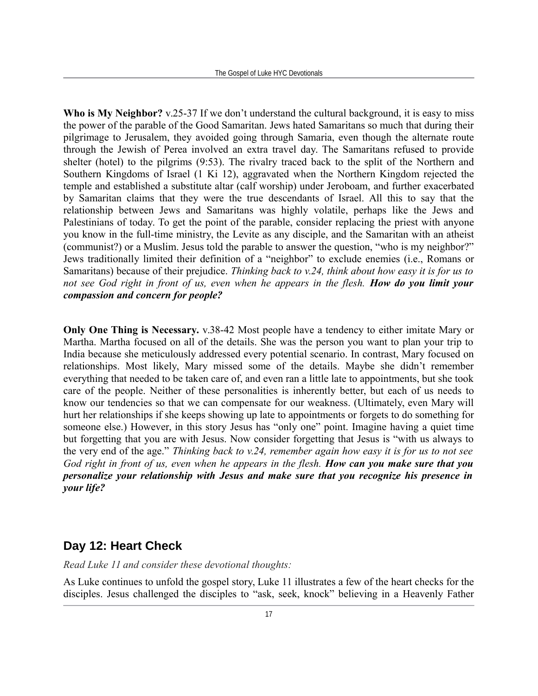**Who is My Neighbor?** v.25-37 If we don't understand the cultural background, it is easy to miss the power of the parable of the Good Samaritan. Jews hated Samaritans so much that during their pilgrimage to Jerusalem, they avoided going through Samaria, even though the alternate route through the Jewish of Perea involved an extra travel day. The Samaritans refused to provide shelter (hotel) to the pilgrims (9:53). The rivalry traced back to the split of the Northern and Southern Kingdoms of Israel (1 Ki 12), aggravated when the Northern Kingdom rejected the temple and established a substitute altar (calf worship) under Jeroboam, and further exacerbated by Samaritan claims that they were the true descendants of Israel. All this to say that the relationship between Jews and Samaritans was highly volatile, perhaps like the Jews and Palestinians of today. To get the point of the parable, consider replacing the priest with anyone you know in the full-time ministry, the Levite as any disciple, and the Samaritan with an atheist (communist?) or a Muslim. Jesus told the parable to answer the question, "who is my neighbor?" Jews traditionally limited their definition of a "neighbor" to exclude enemies (i.e., Romans or Samaritans) because of their prejudice. *Thinking back to v.24, think about how easy it is for us to not see God right in front of us, even when he appears in the flesh. How do you limit your compassion and concern for people?*

**Only One Thing is Necessary.** v.38-42 Most people have a tendency to either imitate Mary or Martha. Martha focused on all of the details. She was the person you want to plan your trip to India because she meticulously addressed every potential scenario. In contrast, Mary focused on relationships. Most likely, Mary missed some of the details. Maybe she didn't remember everything that needed to be taken care of, and even ran a little late to appointments, but she took care of the people. Neither of these personalities is inherently better, but each of us needs to know our tendencies so that we can compensate for our weakness. (Ultimately, even Mary will hurt her relationships if she keeps showing up late to appointments or forgets to do something for someone else.) However, in this story Jesus has "only one" point. Imagine having a quiet time but forgetting that you are with Jesus. Now consider forgetting that Jesus is "with us always to the very end of the age." *Thinking back to v.24, remember again how easy it is for us to not see God right in front of us, even when he appears in the flesh. How can you make sure that you personalize your relationship with Jesus and make sure that you recognize his presence in your life?*

#### **Day 12: Heart Check**

*Read Luke 11 and consider these devotional thoughts:*

As Luke continues to unfold the gospel story, Luke 11 illustrates a few of the heart checks for the disciples. Jesus challenged the disciples to "ask, seek, knock" believing in a Heavenly Father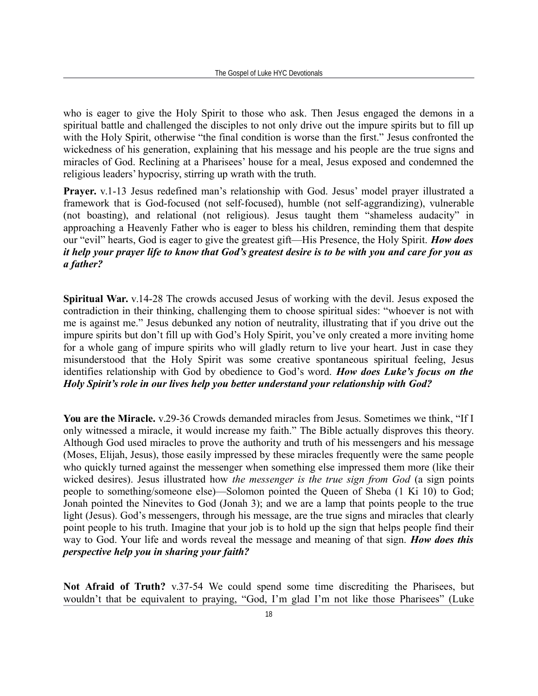who is eager to give the Holy Spirit to those who ask. Then Jesus engaged the demons in a spiritual battle and challenged the disciples to not only drive out the impure spirits but to fill up with the Holy Spirit, otherwise "the final condition is worse than the first." Jesus confronted the wickedness of his generation, explaining that his message and his people are the true signs and miracles of God. Reclining at a Pharisees' house for a meal, Jesus exposed and condemned the religious leaders' hypocrisy, stirring up wrath with the truth.

**Prayer.** v.1-13 Jesus redefined man's relationship with God. Jesus' model prayer illustrated a framework that is God-focused (not self-focused), humble (not self-aggrandizing), vulnerable (not boasting), and relational (not religious). Jesus taught them "shameless audacity" in approaching a Heavenly Father who is eager to bless his children, reminding them that despite our "evil" hearts, God is eager to give the greatest gift—His Presence, the Holy Spirit. *How does it help your prayer life to know that God's greatest desire is to be with you and care for you as a father?*

**Spiritual War.** v.14-28 The crowds accused Jesus of working with the devil. Jesus exposed the contradiction in their thinking, challenging them to choose spiritual sides: "whoever is not with me is against me." Jesus debunked any notion of neutrality, illustrating that if you drive out the impure spirits but don't fill up with God's Holy Spirit, you've only created a more inviting home for a whole gang of impure spirits who will gladly return to live your heart. Just in case they misunderstood that the Holy Spirit was some creative spontaneous spiritual feeling, Jesus identifies relationship with God by obedience to God's word. *How does Luke's focus on the Holy Spirit's role in our lives help you better understand your relationship with God?*

**You are the Miracle.** v.29-36 Crowds demanded miracles from Jesus. Sometimes we think, "If I only witnessed a miracle, it would increase my faith." The Bible actually disproves this theory. Although God used miracles to prove the authority and truth of his messengers and his message (Moses, Elijah, Jesus), those easily impressed by these miracles frequently were the same people who quickly turned against the messenger when something else impressed them more (like their wicked desires). Jesus illustrated how *the messenger is the true sign from God* (a sign points people to something/someone else)—Solomon pointed the Queen of Sheba (1 Ki 10) to God; Jonah pointed the Ninevites to God (Jonah 3); and we are a lamp that points people to the true light (Jesus). God's messengers, through his message, are the true signs and miracles that clearly point people to his truth. Imagine that your job is to hold up the sign that helps people find their way to God. Your life and words reveal the message and meaning of that sign. *How does this perspective help you in sharing your faith?*

**Not Afraid of Truth?** v.37-54 We could spend some time discrediting the Pharisees, but wouldn't that be equivalent to praying, "God, I'm glad I'm not like those Pharisees" (Luke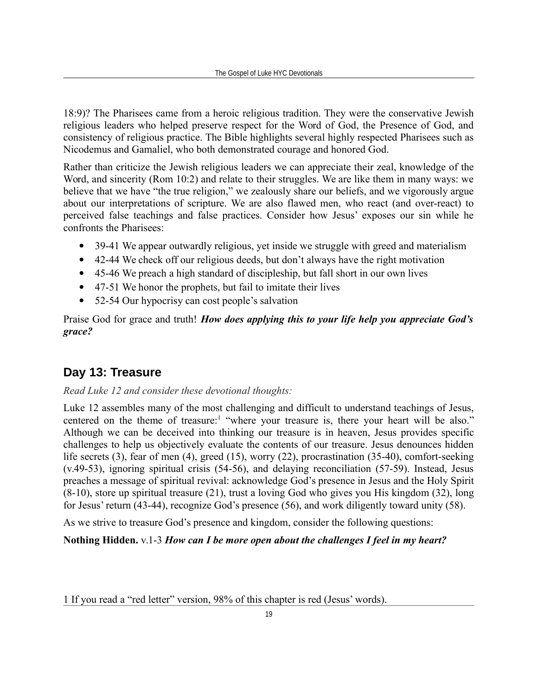18:9)? The Pharisees came from a heroic religious tradition. They were the conservative Jewish religious leaders who helped preserve respect for the Word of God, the Presence of God, and consistency of religious practice. The Bible highlights several highly respected Pharisees such as Nicodemus and Gamaliel, who both demonstrated courage and honored God.

Rather than criticize the Jewish religious leaders we can appreciate their zeal, knowledge of the Word, and sincerity (Rom 10:2) and relate to their struggles. We are like them in many ways: we believe that we have "the true religion," we zealously share our beliefs, and we vigorously argue about our interpretations of scripture. We are also flawed men, who react (and over-react) to perceived false teachings and false practices. Consider how Jesus' exposes our sin while he confronts the Pharisees:

- 39-41 We appear outwardly religious, yet inside we struggle with greed and materialism
- 42-44 We check off our religious deeds, but don't always have the right motivation
- 45-46 We preach a high standard of discipleship, but fall short in our own lives
- 47-51 We honor the prophets, but fail to imitate their lives
- 52-54 Our hypocrisy can cost people's salvation

Praise God for grace and truth! *How does applying this to your life help you appreciate God's grace?*

### **Day 13: Treasure**

#### *Read Luke 12 and consider these devotional thoughts:*

Luke 12 assembles many of the most challenging and difficult to understand teachings of Jesus, centered on the theme of treasure:<sup>[1](#page-18-0)</sup> "where your treasure is, there your heart will be also." Although we can be deceived into thinking our treasure is in heaven, Jesus provides specific challenges to help us objectively evaluate the contents of our treasure. Jesus denounces hidden life secrets (3), fear of men (4), greed (15), worry (22), procrastination (35-40), comfort-seeking (v.49-53), ignoring spiritual crisis (54-56), and delaying reconciliation (57-59). Instead, Jesus preaches a message of spiritual revival: acknowledge God's presence in Jesus and the Holy Spirit (8-10), store up spiritual treasure (21), trust a loving God who gives you His kingdom (32), long for Jesus' return (43-44), recognize God's presence (56), and work diligently toward unity (58).

As we strive to treasure God's presence and kingdom, consider the following questions:

#### **Nothing Hidden.** v.1-3 *How can I be more open about the challenges I feel in my heart?*

<span id="page-18-0"></span>1 If you read a "red letter" version, 98% of this chapter is red (Jesus' words).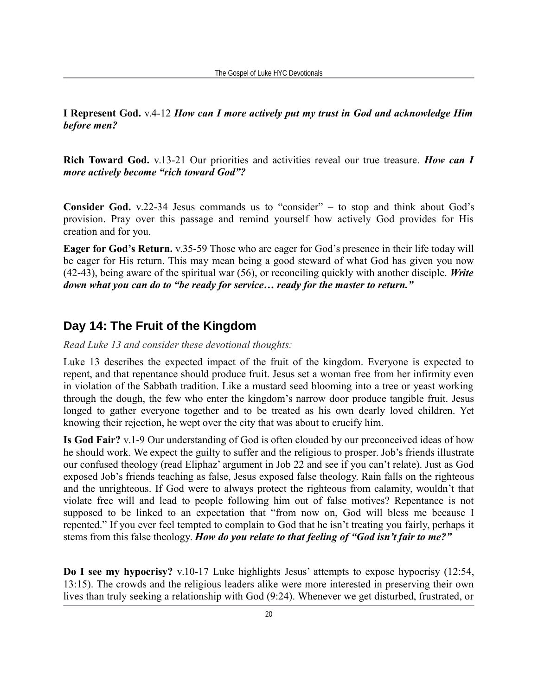**I Represent God.** v.4-12 *How can I more actively put my trust in God and acknowledge Him before men?*

**Rich Toward God.** v.13-21 Our priorities and activities reveal our true treasure. *How can I more actively become "rich toward God"?*

**Consider God.** v.22-34 Jesus commands us to "consider" – to stop and think about God's provision. Pray over this passage and remind yourself how actively God provides for His creation and for you.

**Eager for God's Return.** v.35-59 Those who are eager for God's presence in their life today will be eager for His return. This may mean being a good steward of what God has given you now (42-43), being aware of the spiritual war (56), or reconciling quickly with another disciple. *Write down what you can do to "be ready for service… ready for the master to return."*

## **Day 14: The Fruit of the Kingdom**

#### *Read Luke 13 and consider these devotional thoughts:*

Luke 13 describes the expected impact of the fruit of the kingdom. Everyone is expected to repent, and that repentance should produce fruit. Jesus set a woman free from her infirmity even in violation of the Sabbath tradition. Like a mustard seed blooming into a tree or yeast working through the dough, the few who enter the kingdom's narrow door produce tangible fruit. Jesus longed to gather everyone together and to be treated as his own dearly loved children. Yet knowing their rejection, he wept over the city that was about to crucify him.

**Is God Fair?** v.1-9 Our understanding of God is often clouded by our preconceived ideas of how he should work. We expect the guilty to suffer and the religious to prosper. Job's friends illustrate our confused theology (read Eliphaz' argument in Job 22 and see if you can't relate). Just as God exposed Job's friends teaching as false, Jesus exposed false theology. Rain falls on the righteous and the unrighteous. If God were to always protect the righteous from calamity, wouldn't that violate free will and lead to people following him out of false motives? Repentance is not supposed to be linked to an expectation that "from now on, God will bless me because I repented." If you ever feel tempted to complain to God that he isn't treating you fairly, perhaps it stems from this false theology. *How do you relate to that feeling of "God isn't fair to me?"*

**Do I see my hypocrisy?** v.10-17 Luke highlights Jesus' attempts to expose hypocrisy (12:54, 13:15). The crowds and the religious leaders alike were more interested in preserving their own lives than truly seeking a relationship with God (9:24). Whenever we get disturbed, frustrated, or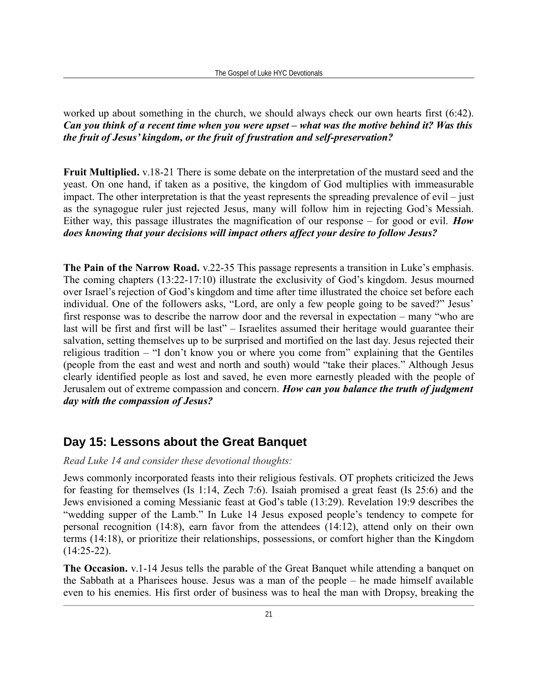worked up about something in the church, we should always check our own hearts first (6:42). *Can you think of a recent time when you were upset – what was the motive behind it? Was this the fruit of Jesus' kingdom, or the fruit of frustration and self-preservation?*

**Fruit Multiplied.** v.18-21 There is some debate on the interpretation of the mustard seed and the yeast. On one hand, if taken as a positive, the kingdom of God multiplies with immeasurable impact. The other interpretation is that the yeast represents the spreading prevalence of evil – just as the synagogue ruler just rejected Jesus, many will follow him in rejecting God's Messiah. Either way, this passage illustrates the magnification of our response – for good or evil. *How does knowing that your decisions will impact others affect your desire to follow Jesus?*

**The Pain of the Narrow Road.** v.22-35 This passage represents a transition in Luke's emphasis. The coming chapters (13:22-17:10) illustrate the exclusivity of God's kingdom. Jesus mourned over Israel's rejection of God's kingdom and time after time illustrated the choice set before each individual. One of the followers asks, "Lord, are only a few people going to be saved?" Jesus' first response was to describe the narrow door and the reversal in expectation – many "who are last will be first and first will be last" – Israelites assumed their heritage would guarantee their salvation, setting themselves up to be surprised and mortified on the last day. Jesus rejected their religious tradition – "I don't know you or where you come from" explaining that the Gentiles (people from the east and west and north and south) would "take their places." Although Jesus clearly identified people as lost and saved, he even more earnestly pleaded with the people of Jerusalem out of extreme compassion and concern. *How can you balance the truth of judgment day with the compassion of Jesus?*

## **Day 15: Lessons about the Great Banquet**

#### *Read Luke 14 and consider these devotional thoughts:*

Jews commonly incorporated feasts into their religious festivals. OT prophets criticized the Jews for feasting for themselves (Is 1:14, Zech 7:6). Isaiah promised a great feast (Is 25:6) and the Jews envisioned a coming Messianic feast at God's table (13:29). Revelation 19:9 describes the "wedding supper of the Lamb." In Luke 14 Jesus exposed people's tendency to compete for personal recognition (14:8), earn favor from the attendees (14:12), attend only on their own terms (14:18), or prioritize their relationships, possessions, or comfort higher than the Kingdom  $(14:25-22)$ .

**The Occasion.** v.1-14 Jesus tells the parable of the Great Banquet while attending a banquet on the Sabbath at a Pharisees house. Jesus was a man of the people – he made himself available even to his enemies. His first order of business was to heal the man with Dropsy, breaking the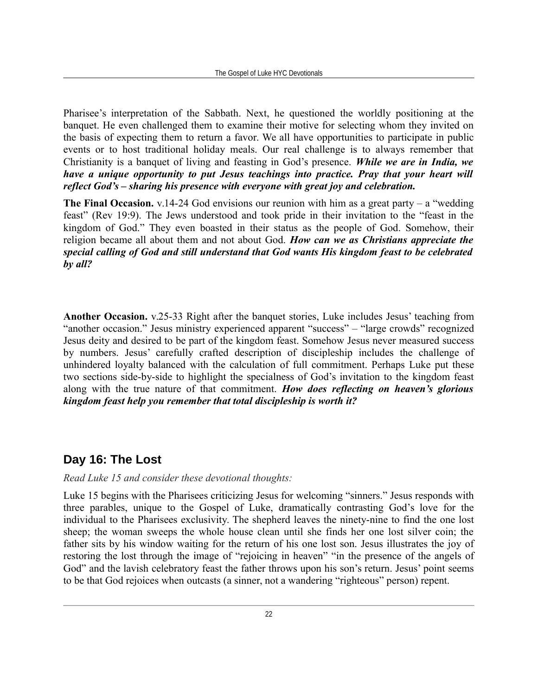Pharisee's interpretation of the Sabbath. Next, he questioned the worldly positioning at the banquet. He even challenged them to examine their motive for selecting whom they invited on the basis of expecting them to return a favor. We all have opportunities to participate in public events or to host traditional holiday meals. Our real challenge is to always remember that Christianity is a banquet of living and feasting in God's presence. *While we are in India, we have a unique opportunity to put Jesus teachings into practice. Pray that your heart will reflect God's – sharing his presence with everyone with great joy and celebration.*

**The Final Occasion.** v.14-24 God envisions our reunion with him as a great party – a "wedding" feast" (Rev 19:9). The Jews understood and took pride in their invitation to the "feast in the kingdom of God." They even boasted in their status as the people of God. Somehow, their religion became all about them and not about God. *How can we as Christians appreciate the special calling of God and still understand that God wants His kingdom feast to be celebrated by all?*

**Another Occasion.** v.25-33 Right after the banquet stories, Luke includes Jesus' teaching from "another occasion." Jesus ministry experienced apparent "success" – "large crowds" recognized Jesus deity and desired to be part of the kingdom feast. Somehow Jesus never measured success by numbers. Jesus' carefully crafted description of discipleship includes the challenge of unhindered loyalty balanced with the calculation of full commitment. Perhaps Luke put these two sections side-by-side to highlight the specialness of God's invitation to the kingdom feast along with the true nature of that commitment. *How does reflecting on heaven's glorious kingdom feast help you remember that total discipleship is worth it?*

## **Day 16: The Lost**

#### *Read Luke 15 and consider these devotional thoughts:*

Luke 15 begins with the Pharisees criticizing Jesus for welcoming "sinners." Jesus responds with three parables, unique to the Gospel of Luke, dramatically contrasting God's love for the individual to the Pharisees exclusivity. The shepherd leaves the ninety-nine to find the one lost sheep; the woman sweeps the whole house clean until she finds her one lost silver coin; the father sits by his window waiting for the return of his one lost son. Jesus illustrates the joy of restoring the lost through the image of "rejoicing in heaven" "in the presence of the angels of God" and the lavish celebratory feast the father throws upon his son's return. Jesus' point seems to be that God rejoices when outcasts (a sinner, not a wandering "righteous" person) repent.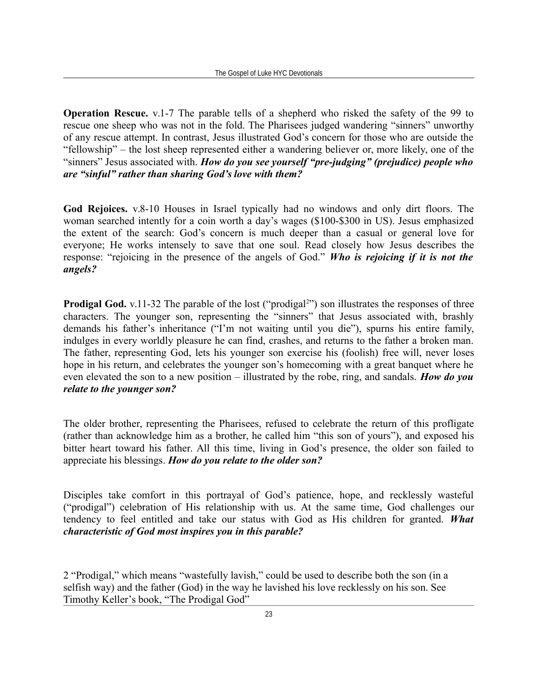**Operation Rescue.** v.1-7 The parable tells of a shepherd who risked the safety of the 99 to rescue one sheep who was not in the fold. The Pharisees judged wandering "sinners" unworthy of any rescue attempt. In contrast, Jesus illustrated God's concern for those who are outside the "fellowship" – the lost sheep represented either a wandering believer or, more likely, one of the "sinners" Jesus associated with. *How do you see yourself "pre-judging" (prejudice) people who are "sinful" rather than sharing God's love with them?*

**God Rejoices.** v.8-10 Houses in Israel typically had no windows and only dirt floors. The woman searched intently for a coin worth a day's wages (\$100-\$300 in US). Jesus emphasized the extent of the search: God's concern is much deeper than a casual or general love for everyone; He works intensely to save that one soul. Read closely how Jesus describes the response: "rejoicing in the presence of the angels of God." *Who is rejoicing if it is not the angels?*

**Prodigal God.** v.11-3[2](#page-22-0) The parable of the lost ("prodigal<sup>2</sup>") son illustrates the responses of three characters. The younger son, representing the "sinners" that Jesus associated with, brashly demands his father's inheritance ("I'm not waiting until you die"), spurns his entire family, indulges in every worldly pleasure he can find, crashes, and returns to the father a broken man. The father, representing God, lets his younger son exercise his (foolish) free will, never loses hope in his return, and celebrates the younger son's homecoming with a great banquet where he even elevated the son to a new position – illustrated by the robe, ring, and sandals. *How do you relate to the younger son?*

The older brother, representing the Pharisees, refused to celebrate the return of this profligate (rather than acknowledge him as a brother, he called him "this son of yours"), and exposed his bitter heart toward his father. All this time, living in God's presence, the older son failed to appreciate his blessings. *How do you relate to the older son?*

Disciples take comfort in this portrayal of God's patience, hope, and recklessly wasteful ("prodigal") celebration of His relationship with us. At the same time, God challenges our tendency to feel entitled and take our status with God as His children for granted. *What characteristic of God most inspires you in this parable?*

<span id="page-22-0"></span>2 "Prodigal," which means "wastefully lavish," could be used to describe both the son (in a selfish way) and the father (God) in the way he lavished his love recklessly on his son. See Timothy Keller's book, "The Prodigal God"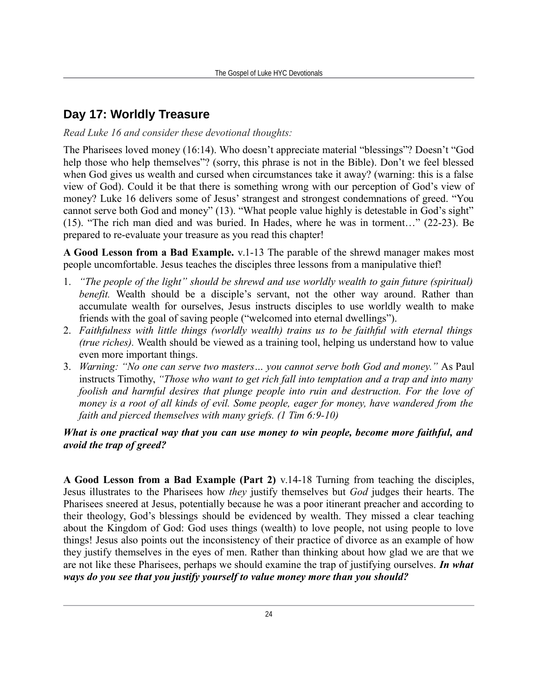## **Day 17: Worldly Treasure**

*Read Luke 16 and consider these devotional thoughts:*

The Pharisees loved money (16:14). Who doesn't appreciate material "blessings"? Doesn't "God help those who help themselves"? (sorry, this phrase is not in the Bible). Don't we feel blessed when God gives us wealth and cursed when circumstances take it away? (warning: this is a false view of God). Could it be that there is something wrong with our perception of God's view of money? Luke 16 delivers some of Jesus' strangest and strongest condemnations of greed. "You cannot serve both God and money" (13). "What people value highly is detestable in God's sight" (15). "The rich man died and was buried. In Hades, where he was in torment…" (22-23). Be prepared to re-evaluate your treasure as you read this chapter!

**A Good Lesson from a Bad Example.** v.1-13 The parable of the shrewd manager makes most people uncomfortable. Jesus teaches the disciples three lessons from a manipulative thief!

- 1. *"The people of the light" should be shrewd and use worldly wealth to gain future (spiritual) benefit.* Wealth should be a disciple's servant, not the other way around. Rather than accumulate wealth for ourselves, Jesus instructs disciples to use worldly wealth to make friends with the goal of saving people ("welcomed into eternal dwellings").
- 2. *Faithfulness with little things (worldly wealth) trains us to be faithful with eternal things (true riches).* Wealth should be viewed as a training tool, helping us understand how to value even more important things.
- 3. *Warning: "No one can serve two masters… you cannot serve both God and money."* As Paul instructs Timothy, *"Those who want to get rich fall into temptation and a trap and into many foolish and harmful desires that plunge people into ruin and destruction. For the love of money is a root of all kinds of evil. Some people, eager for money, have wandered from the faith and pierced themselves with many griefs. (1 Tim 6:9-10)*

#### *What is one practical way that you can use money to win people, become more faithful, and avoid the trap of greed?*

**A Good Lesson from a Bad Example (Part 2)** v.14-18 Turning from teaching the disciples, Jesus illustrates to the Pharisees how *they* justify themselves but *God* judges their hearts. The Pharisees sneered at Jesus, potentially because he was a poor itinerant preacher and according to their theology, God's blessings should be evidenced by wealth. They missed a clear teaching about the Kingdom of God: God uses things (wealth) to love people, not using people to love things! Jesus also points out the inconsistency of their practice of divorce as an example of how they justify themselves in the eyes of men. Rather than thinking about how glad we are that we are not like these Pharisees, perhaps we should examine the trap of justifying ourselves. *In what ways do you see that you justify yourself to value money more than you should?*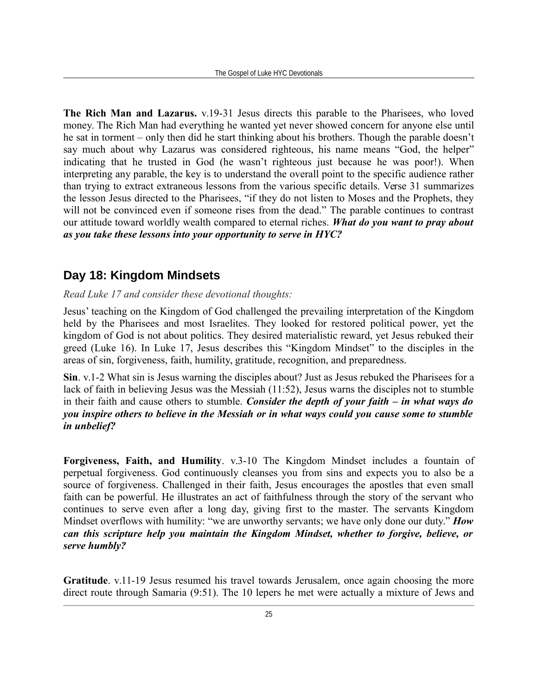**The Rich Man and Lazarus.** v.19-31 Jesus directs this parable to the Pharisees, who loved money. The Rich Man had everything he wanted yet never showed concern for anyone else until he sat in torment – only then did he start thinking about his brothers. Though the parable doesn't say much about why Lazarus was considered righteous, his name means "God, the helper" indicating that he trusted in God (he wasn't righteous just because he was poor!). When interpreting any parable, the key is to understand the overall point to the specific audience rather than trying to extract extraneous lessons from the various specific details. Verse 31 summarizes the lesson Jesus directed to the Pharisees, "if they do not listen to Moses and the Prophets, they will not be convinced even if someone rises from the dead." The parable continues to contrast our attitude toward worldly wealth compared to eternal riches. *What do you want to pray about as you take these lessons into your opportunity to serve in HYC?*

## **Day 18: Kingdom Mindsets**

*Read Luke 17 and consider these devotional thoughts:*

Jesus' teaching on the Kingdom of God challenged the prevailing interpretation of the Kingdom held by the Pharisees and most Israelites. They looked for restored political power, yet the kingdom of God is not about politics. They desired materialistic reward, yet Jesus rebuked their greed (Luke 16). In Luke 17, Jesus describes this "Kingdom Mindset" to the disciples in the areas of sin, forgiveness, faith, humility, gratitude, recognition, and preparedness.

**Sin**. v.1-2 What sin is Jesus warning the disciples about? Just as Jesus rebuked the Pharisees for a lack of faith in believing Jesus was the Messiah (11:52), Jesus warns the disciples not to stumble in their faith and cause others to stumble. *Consider the depth of your faith – in what ways do you inspire others to believe in the Messiah or in what ways could you cause some to stumble in unbelief?*

**Forgiveness, Faith, and Humility**. v.3-10 The Kingdom Mindset includes a fountain of perpetual forgiveness. God continuously cleanses you from sins and expects you to also be a source of forgiveness. Challenged in their faith, Jesus encourages the apostles that even small faith can be powerful. He illustrates an act of faithfulness through the story of the servant who continues to serve even after a long day, giving first to the master. The servants Kingdom Mindset overflows with humility: "we are unworthy servants; we have only done our duty." *How can this scripture help you maintain the Kingdom Mindset, whether to forgive, believe, or serve humbly?*

**Gratitude**. v.11-19 Jesus resumed his travel towards Jerusalem, once again choosing the more direct route through Samaria (9:51). The 10 lepers he met were actually a mixture of Jews and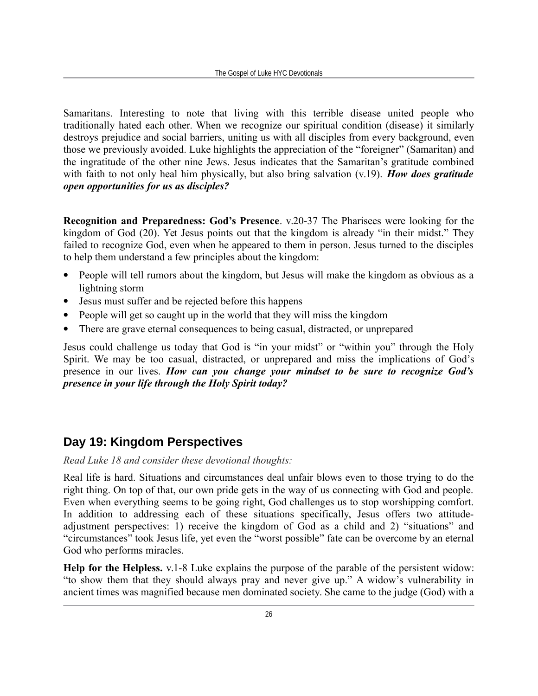Samaritans. Interesting to note that living with this terrible disease united people who traditionally hated each other. When we recognize our spiritual condition (disease) it similarly destroys prejudice and social barriers, uniting us with all disciples from every background, even those we previously avoided. Luke highlights the appreciation of the "foreigner" (Samaritan) and the ingratitude of the other nine Jews. Jesus indicates that the Samaritan's gratitude combined with faith to not only heal him physically, but also bring salvation (v.19). *How does gratitude open opportunities for us as disciples?*

**Recognition and Preparedness: God's Presence**. v.20-37 The Pharisees were looking for the kingdom of God (20). Yet Jesus points out that the kingdom is already "in their midst." They failed to recognize God, even when he appeared to them in person. Jesus turned to the disciples to help them understand a few principles about the kingdom:

- People will tell rumors about the kingdom, but Jesus will make the kingdom as obvious as a lightning storm
- Jesus must suffer and be rejected before this happens
- People will get so caught up in the world that they will miss the kingdom
- There are grave eternal consequences to being casual, distracted, or unprepared

Jesus could challenge us today that God is "in your midst" or "within you" through the Holy Spirit. We may be too casual, distracted, or unprepared and miss the implications of God's presence in our lives. *How can you change your mindset to be sure to recognize God's presence in your life through the Holy Spirit today?*

## **Day 19: Kingdom Perspectives**

#### *Read Luke 18 and consider these devotional thoughts:*

Real life is hard. Situations and circumstances deal unfair blows even to those trying to do the right thing. On top of that, our own pride gets in the way of us connecting with God and people. Even when everything seems to be going right, God challenges us to stop worshipping comfort. In addition to addressing each of these situations specifically, Jesus offers two attitudeadjustment perspectives: 1) receive the kingdom of God as a child and 2) "situations" and "circumstances" took Jesus life, yet even the "worst possible" fate can be overcome by an eternal God who performs miracles.

**Help for the Helpless.** v.1-8 Luke explains the purpose of the parable of the persistent widow: "to show them that they should always pray and never give up." A widow's vulnerability in ancient times was magnified because men dominated society. She came to the judge (God) with a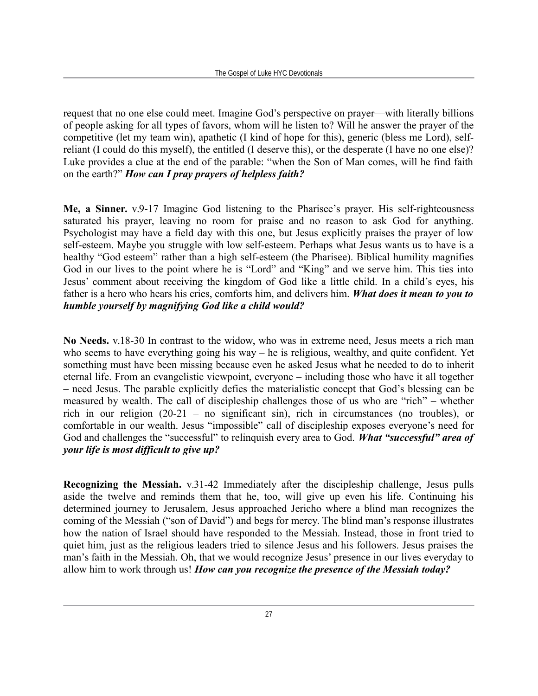request that no one else could meet. Imagine God's perspective on prayer—with literally billions of people asking for all types of favors, whom will he listen to? Will he answer the prayer of the competitive (let my team win), apathetic (I kind of hope for this), generic (bless me Lord), selfreliant (I could do this myself), the entitled (I deserve this), or the desperate (I have no one else)? Luke provides a clue at the end of the parable: "when the Son of Man comes, will he find faith on the earth?" *How can I pray prayers of helpless faith?*

**Me, a Sinner.** v.9-17 Imagine God listening to the Pharisee's prayer. His self-righteousness saturated his prayer, leaving no room for praise and no reason to ask God for anything. Psychologist may have a field day with this one, but Jesus explicitly praises the prayer of low self-esteem. Maybe you struggle with low self-esteem. Perhaps what Jesus wants us to have is a healthy "God esteem" rather than a high self-esteem (the Pharisee). Biblical humility magnifies God in our lives to the point where he is "Lord" and "King" and we serve him. This ties into Jesus' comment about receiving the kingdom of God like a little child. In a child's eyes, his father is a hero who hears his cries, comforts him, and delivers him. *What does it mean to you to humble yourself by magnifying God like a child would?*

**No Needs.** v.18-30 In contrast to the widow, who was in extreme need, Jesus meets a rich man who seems to have everything going his way – he is religious, wealthy, and quite confident. Yet something must have been missing because even he asked Jesus what he needed to do to inherit eternal life. From an evangelistic viewpoint, everyone – including those who have it all together – need Jesus. The parable explicitly defies the materialistic concept that God's blessing can be measured by wealth. The call of discipleship challenges those of us who are "rich" – whether rich in our religion (20-21 – no significant sin), rich in circumstances (no troubles), or comfortable in our wealth. Jesus "impossible" call of discipleship exposes everyone's need for God and challenges the "successful" to relinquish every area to God. *What "successful" area of your life is most difficult to give up?*

**Recognizing the Messiah.** v.31-42 Immediately after the discipleship challenge, Jesus pulls aside the twelve and reminds them that he, too, will give up even his life. Continuing his determined journey to Jerusalem, Jesus approached Jericho where a blind man recognizes the coming of the Messiah ("son of David") and begs for mercy. The blind man's response illustrates how the nation of Israel should have responded to the Messiah. Instead, those in front tried to quiet him, just as the religious leaders tried to silence Jesus and his followers. Jesus praises the man's faith in the Messiah. Oh, that we would recognize Jesus' presence in our lives everyday to allow him to work through us! *How can you recognize the presence of the Messiah today?*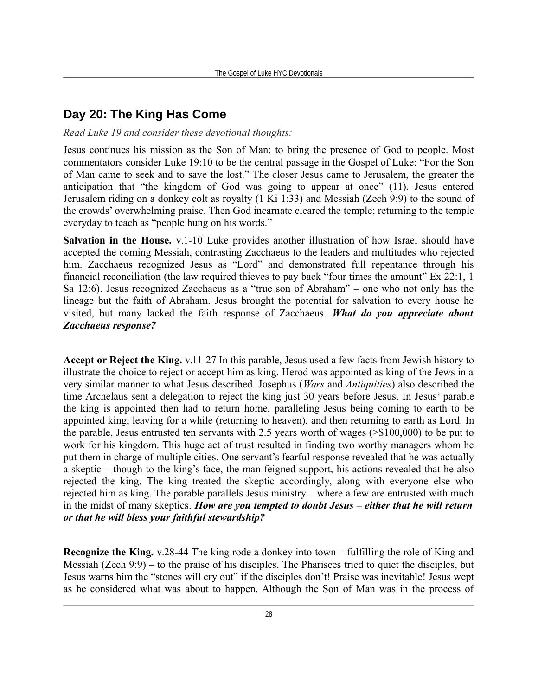## **Day 20: The King Has Come**

*Read Luke 19 and consider these devotional thoughts:*

Jesus continues his mission as the Son of Man: to bring the presence of God to people. Most commentators consider Luke 19:10 to be the central passage in the Gospel of Luke: "For the Son of Man came to seek and to save the lost." The closer Jesus came to Jerusalem, the greater the anticipation that "the kingdom of God was going to appear at once" (11). Jesus entered Jerusalem riding on a donkey colt as royalty (1 Ki 1:33) and Messiah (Zech 9:9) to the sound of the crowds' overwhelming praise. Then God incarnate cleared the temple; returning to the temple everyday to teach as "people hung on his words."

**Salvation in the House.** v.1-10 Luke provides another illustration of how Israel should have accepted the coming Messiah, contrasting Zacchaeus to the leaders and multitudes who rejected him. Zacchaeus recognized Jesus as "Lord" and demonstrated full repentance through his financial reconciliation (the law required thieves to pay back "four times the amount" Ex 22:1, 1 Sa 12:6). Jesus recognized Zacchaeus as a "true son of Abraham" – one who not only has the lineage but the faith of Abraham. Jesus brought the potential for salvation to every house he visited, but many lacked the faith response of Zacchaeus. *What do you appreciate about Zacchaeus response?*

**Accept or Reject the King.** v.11-27 In this parable, Jesus used a few facts from Jewish history to illustrate the choice to reject or accept him as king. Herod was appointed as king of the Jews in a very similar manner to what Jesus described. Josephus (*Wars* and *Antiquities*) also described the time Archelaus sent a delegation to reject the king just 30 years before Jesus. In Jesus' parable the king is appointed then had to return home, paralleling Jesus being coming to earth to be appointed king, leaving for a while (returning to heaven), and then returning to earth as Lord. In the parable, Jesus entrusted ten servants with 2.5 years worth of wages (>\$100,000) to be put to work for his kingdom. This huge act of trust resulted in finding two worthy managers whom he put them in charge of multiple cities. One servant's fearful response revealed that he was actually a skeptic – though to the king's face, the man feigned support, his actions revealed that he also rejected the king. The king treated the skeptic accordingly, along with everyone else who rejected him as king. The parable parallels Jesus ministry – where a few are entrusted with much in the midst of many skeptics. *How are you tempted to doubt Jesus – either that he will return or that he will bless your faithful stewardship?*

**Recognize the King.** v.28-44 The king rode a donkey into town – fulfilling the role of King and Messiah (Zech 9:9) – to the praise of his disciples. The Pharisees tried to quiet the disciples, but Jesus warns him the "stones will cry out" if the disciples don't! Praise was inevitable! Jesus wept as he considered what was about to happen. Although the Son of Man was in the process of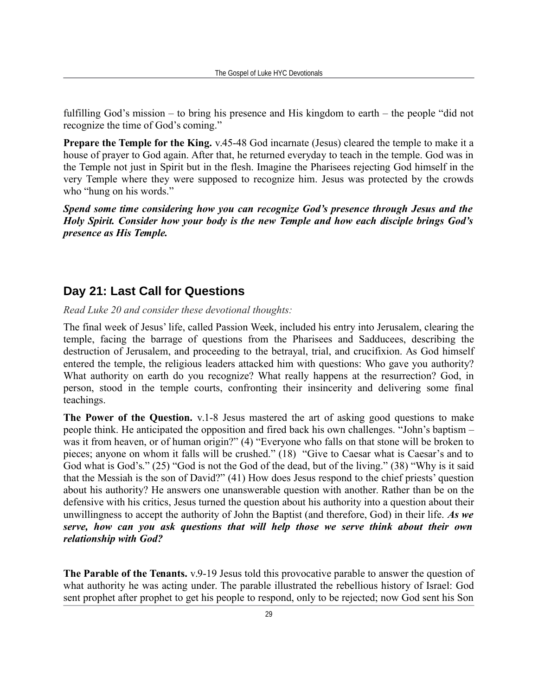fulfilling God's mission – to bring his presence and His kingdom to earth – the people "did not recognize the time of God's coming."

**Prepare the Temple for the King.** v.45-48 God incarnate (Jesus) cleared the temple to make it a house of prayer to God again. After that, he returned everyday to teach in the temple. God was in the Temple not just in Spirit but in the flesh. Imagine the Pharisees rejecting God himself in the very Temple where they were supposed to recognize him. Jesus was protected by the crowds who "hung on his words."

*Spend some time considering how you can recognize God's presence through Jesus and the Holy Spirit. Consider how your body is the new Temple and how each disciple brings God's presence as His Temple.*

#### **Day 21: Last Call for Questions**

*Read Luke 20 and consider these devotional thoughts:*

The final week of Jesus' life, called Passion Week, included his entry into Jerusalem, clearing the temple, facing the barrage of questions from the Pharisees and Sadducees, describing the destruction of Jerusalem, and proceeding to the betrayal, trial, and crucifixion. As God himself entered the temple, the religious leaders attacked him with questions: Who gave you authority? What authority on earth do you recognize? What really happens at the resurrection? God, in person, stood in the temple courts, confronting their insincerity and delivering some final teachings.

**The Power of the Question.** v.1-8 Jesus mastered the art of asking good questions to make people think. He anticipated the opposition and fired back his own challenges. "John's baptism – was it from heaven, or of human origin?" (4) "Everyone who falls on that stone will be broken to pieces; anyone on whom it falls will be crushed." (18) "Give to Caesar what is Caesar's and to God what is God's." (25) "God is not the God of the dead, but of the living." (38) "Why is it said that the Messiah is the son of David?" (41) How does Jesus respond to the chief priests' question about his authority? He answers one unanswerable question with another. Rather than be on the defensive with his critics, Jesus turned the question about his authority into a question about their unwillingness to accept the authority of John the Baptist (and therefore, God) in their life. *As we serve, how can you ask questions that will help those we serve think about their own relationship with God?* 

**The Parable of the Tenants.** v.9-19 Jesus told this provocative parable to answer the question of what authority he was acting under. The parable illustrated the rebellious history of Israel: God sent prophet after prophet to get his people to respond, only to be rejected; now God sent his Son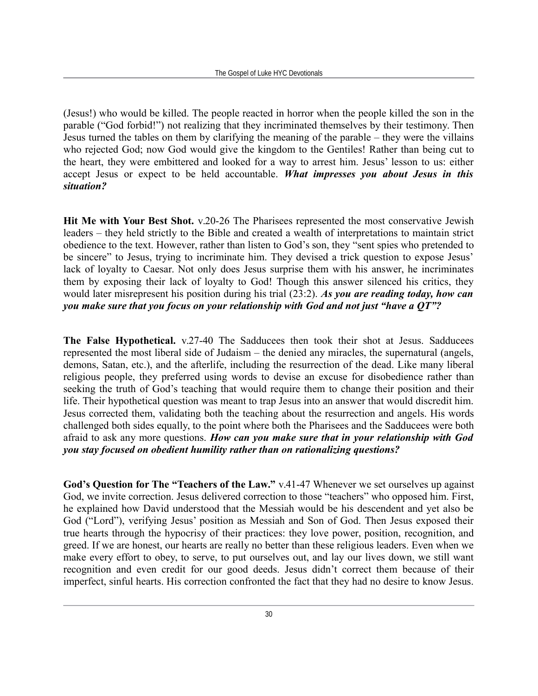(Jesus!) who would be killed. The people reacted in horror when the people killed the son in the parable ("God forbid!") not realizing that they incriminated themselves by their testimony. Then Jesus turned the tables on them by clarifying the meaning of the parable – they were the villains who rejected God; now God would give the kingdom to the Gentiles! Rather than being cut to the heart, they were embittered and looked for a way to arrest him. Jesus' lesson to us: either accept Jesus or expect to be held accountable. *What impresses you about Jesus in this situation?*

**Hit Me with Your Best Shot.** v.20-26 The Pharisees represented the most conservative Jewish leaders – they held strictly to the Bible and created a wealth of interpretations to maintain strict obedience to the text. However, rather than listen to God's son, they "sent spies who pretended to be sincere" to Jesus, trying to incriminate him. They devised a trick question to expose Jesus' lack of loyalty to Caesar. Not only does Jesus surprise them with his answer, he incriminates them by exposing their lack of loyalty to God! Though this answer silenced his critics, they would later misrepresent his position during his trial (23:2). *As you are reading today, how can you make sure that you focus on your relationship with God and not just "have a QT"?* 

**The False Hypothetical.** v.27-40 The Sadducees then took their shot at Jesus. Sadducees represented the most liberal side of Judaism – the denied any miracles, the supernatural (angels, demons, Satan, etc.), and the afterlife, including the resurrection of the dead. Like many liberal religious people, they preferred using words to devise an excuse for disobedience rather than seeking the truth of God's teaching that would require them to change their position and their life. Their hypothetical question was meant to trap Jesus into an answer that would discredit him. Jesus corrected them, validating both the teaching about the resurrection and angels. His words challenged both sides equally, to the point where both the Pharisees and the Sadducees were both afraid to ask any more questions. *How can you make sure that in your relationship with God you stay focused on obedient humility rather than on rationalizing questions?*

**God's Question for The "Teachers of the Law."** v.41-47 Whenever we set ourselves up against God, we invite correction. Jesus delivered correction to those "teachers" who opposed him. First, he explained how David understood that the Messiah would be his descendent and yet also be God ("Lord"), verifying Jesus' position as Messiah and Son of God. Then Jesus exposed their true hearts through the hypocrisy of their practices: they love power, position, recognition, and greed. If we are honest, our hearts are really no better than these religious leaders. Even when we make every effort to obey, to serve, to put ourselves out, and lay our lives down, we still want recognition and even credit for our good deeds. Jesus didn't correct them because of their imperfect, sinful hearts. His correction confronted the fact that they had no desire to know Jesus.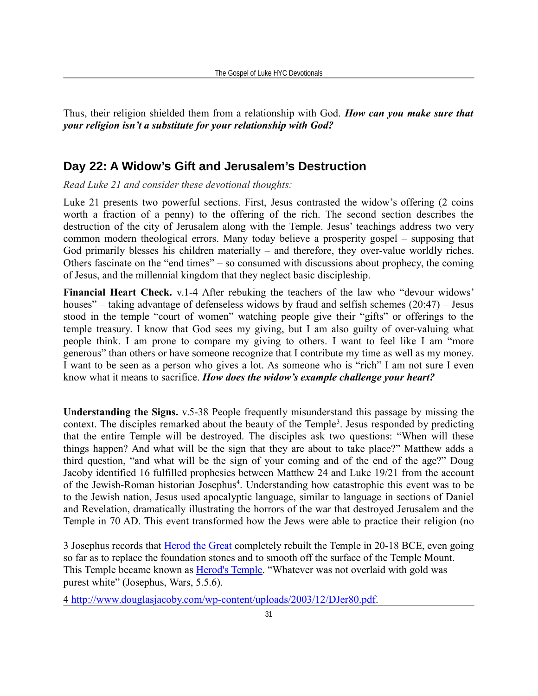Thus, their religion shielded them from a relationship with God. *How can you make sure that your religion isn't a substitute for your relationship with God?*

#### **Day 22: A Widow's Gift and Jerusalem's Destruction**

*Read Luke 21 and consider these devotional thoughts:*

Luke 21 presents two powerful sections. First, Jesus contrasted the widow's offering (2 coins worth a fraction of a penny) to the offering of the rich. The second section describes the destruction of the city of Jerusalem along with the Temple. Jesus' teachings address two very common modern theological errors. Many today believe a prosperity gospel – supposing that God primarily blesses his children materially – and therefore, they over-value worldly riches. Others fascinate on the "end times" – so consumed with discussions about prophecy, the coming of Jesus, and the millennial kingdom that they neglect basic discipleship.

**Financial Heart Check.** v.1-4 After rebuking the teachers of the law who "devour widows' houses" – taking advantage of defenseless widows by fraud and selfish schemes (20:47) – Jesus stood in the temple "court of women" watching people give their "gifts" or offerings to the temple treasury. I know that God sees my giving, but I am also guilty of over-valuing what people think. I am prone to compare my giving to others. I want to feel like I am "more generous" than others or have someone recognize that I contribute my time as well as my money. I want to be seen as a person who gives a lot. As someone who is "rich" I am not sure I even know what it means to sacrifice. *How does the widow's example challenge your heart?*

**Understanding the Signs.** v.5-38 People frequently misunderstand this passage by missing the context. The disciples remarked about the beauty of the Temple<sup>[3](#page-30-0)</sup>. Jesus responded by predicting that the entire Temple will be destroyed. The disciples ask two questions: "When will these things happen? And what will be the sign that they are about to take place?" Matthew adds a third question, "and what will be the sign of your coming and of the end of the age?" Doug Jacoby identified 16 fulfilled prophesies between Matthew 24 and Luke 19/21 from the account of the Jewish-Roman historian Josephus<sup>[4](#page-30-1)</sup>. Understanding how catastrophic this event was to be to the Jewish nation, Jesus used apocalyptic language, similar to language in sections of Daniel and Revelation, dramatically illustrating the horrors of the war that destroyed Jerusalem and the Temple in 70 AD. This event transformed how the Jews were able to practice their religion (no

<span id="page-30-0"></span>3 Josephus records that **Herod the Great completely rebuilt the Temple in 20-18 BCE**, even going so far as to replace the foundation stones and to smooth off the surface of the Temple Mount. This Temple became known as **Herod's Temple**. "Whatever was not overlaid with gold was purest white" (Josephus, Wars, 5.5.6).

<span id="page-30-1"></span>4 [http://www.douglasjacoby.com/wp-content/uploads/2003/12/DJer80.pdf.](http://www.douglasjacoby.com/wp-content/uploads/2003/12/DJer80.pdf)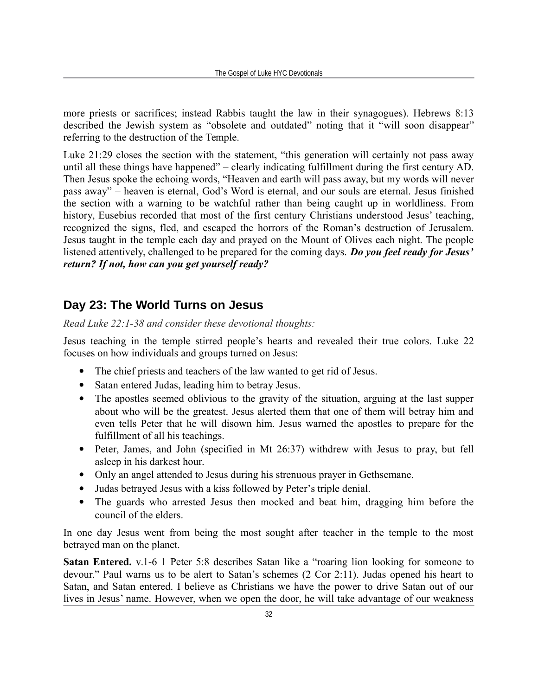more priests or sacrifices; instead Rabbis taught the law in their synagogues). Hebrews 8:13 described the Jewish system as "obsolete and outdated" noting that it "will soon disappear" referring to the destruction of the Temple.

Luke 21:29 closes the section with the statement, "this generation will certainly not pass away until all these things have happened" – clearly indicating fulfillment during the first century AD. Then Jesus spoke the echoing words, "Heaven and earth will pass away, but my words will never pass away" – heaven is eternal, God's Word is eternal, and our souls are eternal. Jesus finished the section with a warning to be watchful rather than being caught up in worldliness. From history, Eusebius recorded that most of the first century Christians understood Jesus' teaching, recognized the signs, fled, and escaped the horrors of the Roman's destruction of Jerusalem. Jesus taught in the temple each day and prayed on the Mount of Olives each night. The people listened attentively, challenged to be prepared for the coming days. *Do you feel ready for Jesus' return? If not, how can you get yourself ready?*

## **Day 23: The World Turns on Jesus**

*Read Luke 22:1-38 and consider these devotional thoughts:*

Jesus teaching in the temple stirred people's hearts and revealed their true colors. Luke 22 focuses on how individuals and groups turned on Jesus:

- The chief priests and teachers of the law wanted to get rid of Jesus.
- Satan entered Judas, leading him to betray Jesus.
- The apostles seemed oblivious to the gravity of the situation, arguing at the last supper about who will be the greatest. Jesus alerted them that one of them will betray him and even tells Peter that he will disown him. Jesus warned the apostles to prepare for the fulfillment of all his teachings.
- Peter, James, and John (specified in Mt 26:37) withdrew with Jesus to pray, but fell asleep in his darkest hour.
- Only an angel attended to Jesus during his strenuous prayer in Gethsemane.
- Judas betrayed Jesus with a kiss followed by Peter's triple denial.
- The guards who arrested Jesus then mocked and beat him, dragging him before the council of the elders.

In one day Jesus went from being the most sought after teacher in the temple to the most betrayed man on the planet.

**Satan Entered.** v.1-6 1 Peter 5:8 describes Satan like a "roaring lion looking for someone to devour." Paul warns us to be alert to Satan's schemes (2 Cor 2:11). Judas opened his heart to Satan, and Satan entered. I believe as Christians we have the power to drive Satan out of our lives in Jesus' name. However, when we open the door, he will take advantage of our weakness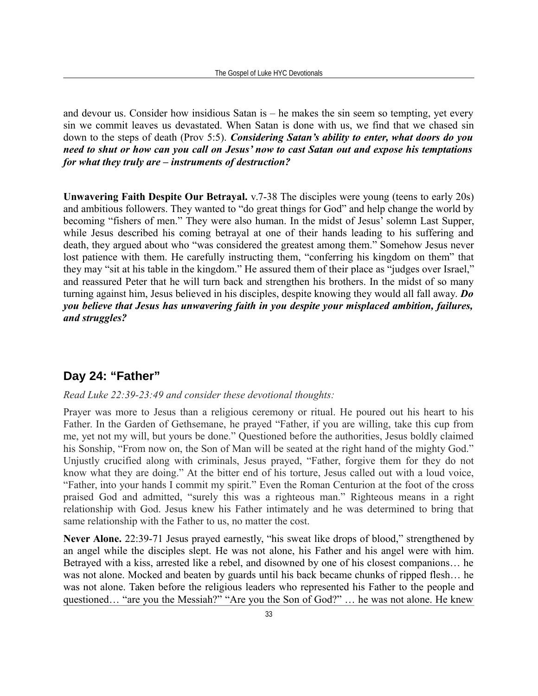and devour us. Consider how insidious Satan is – he makes the sin seem so tempting, yet every sin we commit leaves us devastated. When Satan is done with us, we find that we chased sin down to the steps of death (Prov 5:5). *Considering Satan's ability to enter, what doors do you need to shut or how can you call on Jesus' now to cast Satan out and expose his temptations for what they truly are – instruments of destruction?*

**Unwavering Faith Despite Our Betrayal.** v.7-38 The disciples were young (teens to early 20s) and ambitious followers. They wanted to "do great things for God" and help change the world by becoming "fishers of men." They were also human. In the midst of Jesus' solemn Last Supper, while Jesus described his coming betrayal at one of their hands leading to his suffering and death, they argued about who "was considered the greatest among them." Somehow Jesus never lost patience with them. He carefully instructing them, "conferring his kingdom on them" that they may "sit at his table in the kingdom." He assured them of their place as "judges over Israel," and reassured Peter that he will turn back and strengthen his brothers. In the midst of so many turning against him, Jesus believed in his disciples, despite knowing they would all fall away. *Do you believe that Jesus has unwavering faith in you despite your misplaced ambition, failures, and struggles?*

#### **Day 24: "Father"**

#### *Read Luke 22:39-23:49 and consider these devotional thoughts:*

Prayer was more to Jesus than a religious ceremony or ritual. He poured out his heart to his Father. In the Garden of Gethsemane, he prayed "Father, if you are willing, take this cup from me, yet not my will, but yours be done." Questioned before the authorities, Jesus boldly claimed his Sonship, "From now on, the Son of Man will be seated at the right hand of the mighty God." Unjustly crucified along with criminals, Jesus prayed, "Father, forgive them for they do not know what they are doing." At the bitter end of his torture, Jesus called out with a loud voice, "Father, into your hands I commit my spirit." Even the Roman Centurion at the foot of the cross praised God and admitted, "surely this was a righteous man." Righteous means in a right relationship with God. Jesus knew his Father intimately and he was determined to bring that same relationship with the Father to us, no matter the cost.

**Never Alone.** 22:39-71 Jesus prayed earnestly, "his sweat like drops of blood," strengthened by an angel while the disciples slept. He was not alone, his Father and his angel were with him. Betrayed with a kiss, arrested like a rebel, and disowned by one of his closest companions… he was not alone. Mocked and beaten by guards until his back became chunks of ripped flesh… he was not alone. Taken before the religious leaders who represented his Father to the people and questioned… "are you the Messiah?" "Are you the Son of God?" … he was not alone. He knew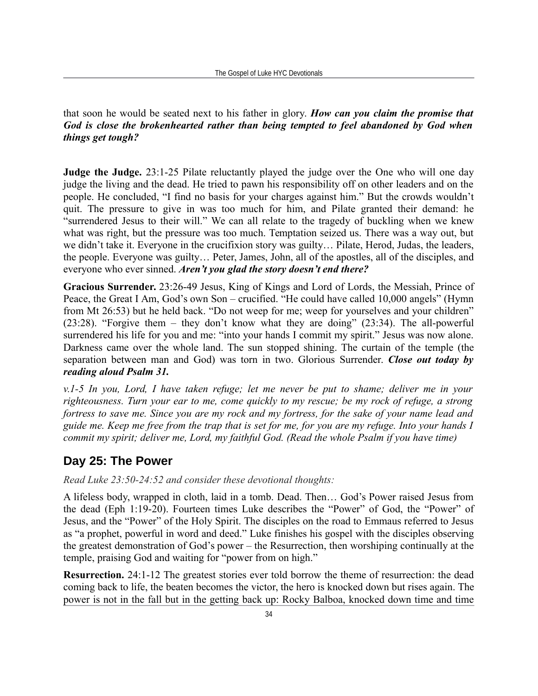#### that soon he would be seated next to his father in glory. *How can you claim the promise that God is close the brokenhearted rather than being tempted to feel abandoned by God when things get tough?*

**Judge the Judge.** 23:1-25 Pilate reluctantly played the judge over the One who will one day judge the living and the dead. He tried to pawn his responsibility off on other leaders and on the people. He concluded, "I find no basis for your charges against him." But the crowds wouldn't quit. The pressure to give in was too much for him, and Pilate granted their demand: he "surrendered Jesus to their will." We can all relate to the tragedy of buckling when we knew what was right, but the pressure was too much. Temptation seized us. There was a way out, but we didn't take it. Everyone in the crucifixion story was guilty… Pilate, Herod, Judas, the leaders, the people. Everyone was guilty… Peter, James, John, all of the apostles, all of the disciples, and everyone who ever sinned. *Aren't you glad the story doesn't end there?*

**Gracious Surrender.** 23:26-49 Jesus, King of Kings and Lord of Lords, the Messiah, Prince of Peace, the Great I Am, God's own Son – crucified. "He could have called 10,000 angels" (Hymn from Mt 26:53) but he held back. "Do not weep for me; weep for yourselves and your children" (23:28). "Forgive them – they don't know what they are doing" (23:34). The all-powerful surrendered his life for you and me: "into your hands I commit my spirit." Jesus was now alone. Darkness came over the whole land. The sun stopped shining. The curtain of the temple (the separation between man and God) was torn in two. Glorious Surrender. *Close out today by reading aloud Psalm 31.*

*v.1-5 In you, Lord, I have taken refuge; let me never be put to shame; deliver me in your righteousness. Turn your ear to me, come quickly to my rescue; be my rock of refuge, a strong fortress to save me. Since you are my rock and my fortress, for the sake of your name lead and guide me. Keep me free from the trap that is set for me, for you are my refuge. Into your hands I commit my spirit; deliver me, Lord, my faithful God. (Read the whole Psalm if you have time)*

## **Day 25: The Power**

*Read Luke 23:50-24:52 and consider these devotional thoughts:*

A lifeless body, wrapped in cloth, laid in a tomb. Dead. Then… God's Power raised Jesus from the dead (Eph 1:19-20). Fourteen times Luke describes the "Power" of God, the "Power" of Jesus, and the "Power" of the Holy Spirit. The disciples on the road to Emmaus referred to Jesus as "a prophet, powerful in word and deed." Luke finishes his gospel with the disciples observing the greatest demonstration of God's power – the Resurrection, then worshiping continually at the temple, praising God and waiting for "power from on high."

**Resurrection.** 24:1-12 The greatest stories ever told borrow the theme of resurrection: the dead coming back to life, the beaten becomes the victor, the hero is knocked down but rises again. The power is not in the fall but in the getting back up: Rocky Balboa, knocked down time and time